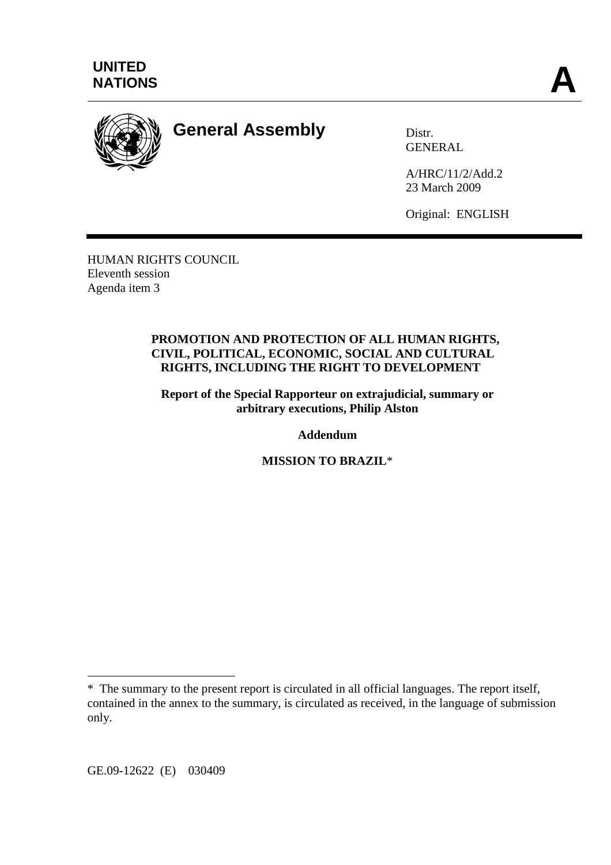



# **General Assembly** Distr.

**GENERAL** 

A/HRC/11/2/Add.2 23 March 2009

Original: ENGLISH

HUMAN RIGHTS COUNCIL Eleventh session Agenda item 3

#### **PROMOTION AND PROTECTION OF ALL HUMAN RIGHTS, CIVIL, POLITICAL, ECONOMIC, SOCIAL AND CULTURAL RIGHTS, INCLUDING THE RIGHT TO DEVELOPMENT**

**Report of the Special Rapporteur on extrajudicial, summary or arbitrary executions, Philip Alston** 

**Addendum** 

**MISSION TO BRAZIL**\*

 $\overline{a}$ 

<sup>\*</sup> The summary to the present report is circulated in all official languages. The report itself, contained in the annex to the summary, is circulated as received, in the language of submission only.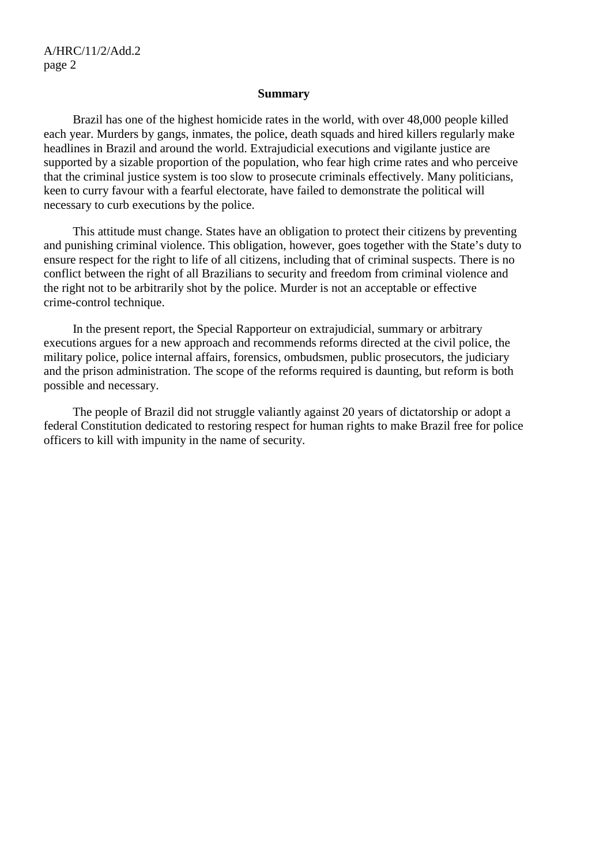#### **Summary**

 Brazil has one of the highest homicide rates in the world, with over 48,000 people killed each year. Murders by gangs, inmates, the police, death squads and hired killers regularly make headlines in Brazil and around the world. Extrajudicial executions and vigilante justice are supported by a sizable proportion of the population, who fear high crime rates and who perceive that the criminal justice system is too slow to prosecute criminals effectively. Many politicians, keen to curry favour with a fearful electorate, have failed to demonstrate the political will necessary to curb executions by the police.

 This attitude must change. States have an obligation to protect their citizens by preventing and punishing criminal violence. This obligation, however, goes together with the State's duty to ensure respect for the right to life of all citizens, including that of criminal suspects. There is no conflict between the right of all Brazilians to security and freedom from criminal violence and the right not to be arbitrarily shot by the police. Murder is not an acceptable or effective crime-control technique.

 In the present report, the Special Rapporteur on extrajudicial, summary or arbitrary executions argues for a new approach and recommends reforms directed at the civil police, the military police, police internal affairs, forensics, ombudsmen, public prosecutors, the judiciary and the prison administration. The scope of the reforms required is daunting, but reform is both possible and necessary.

 The people of Brazil did not struggle valiantly against 20 years of dictatorship or adopt a federal Constitution dedicated to restoring respect for human rights to make Brazil free for police officers to kill with impunity in the name of security.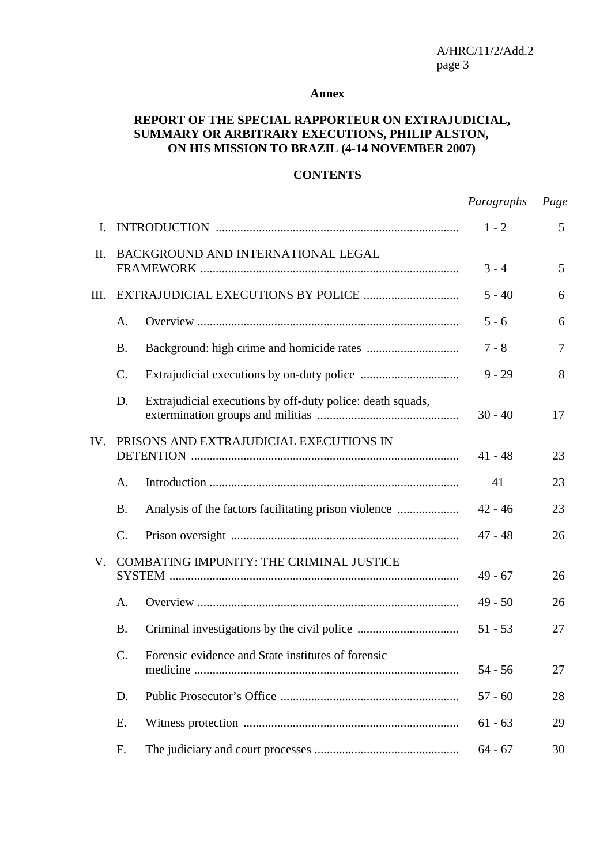#### **Annex**

## **REPORT OF THE SPECIAL RAPPORTEUR ON EXTRAJUDICIAL, SUMMARY OR ARBITRARY EXECUTIONS, PHILIP ALSTON, ON HIS MISSION TO BRAZIL (4-14 NOVEMBER 2007)**

#### **CONTENTS**

|             |                                          |                                                            | Paragraphs | Page |
|-------------|------------------------------------------|------------------------------------------------------------|------------|------|
| I.          |                                          |                                                            | $1 - 2$    | 5    |
| II.         | BACKGROUND AND INTERNATIONAL LEGAL       |                                                            | $3 - 4$    | 5    |
| III.        |                                          |                                                            | $5 - 40$   | 6    |
|             | A.                                       |                                                            | $5 - 6$    | 6    |
|             | <b>B.</b>                                |                                                            | $7 - 8$    | 7    |
|             | $\mathcal{C}$ .                          |                                                            | $9 - 29$   | 8    |
|             | D.                                       | Extrajudicial executions by off-duty police: death squads, | $30 - 40$  | 17   |
| IV.         | PRISONS AND EXTRAJUDICIAL EXECUTIONS IN  |                                                            | $41 - 48$  | 23   |
|             | A.                                       |                                                            | 41         | 23   |
|             | <b>B.</b>                                |                                                            | $42 - 46$  | 23   |
|             | C.                                       |                                                            | $47 - 48$  | 26   |
| $V_{\cdot}$ | COMBATING IMPUNITY: THE CRIMINAL JUSTICE |                                                            | $49 - 67$  | 26   |
|             | A.                                       |                                                            | $49 - 50$  | 26   |
|             | <b>B.</b>                                |                                                            | $51 - 53$  | 27   |
|             | $C_{\cdot}$                              | Forensic evidence and State institutes of forensic         | $54 - 56$  | 27   |
|             | D.                                       |                                                            | $57 - 60$  | 28   |
|             | E.                                       |                                                            | $61 - 63$  | 29   |
|             | F.                                       |                                                            | $64 - 67$  | 30   |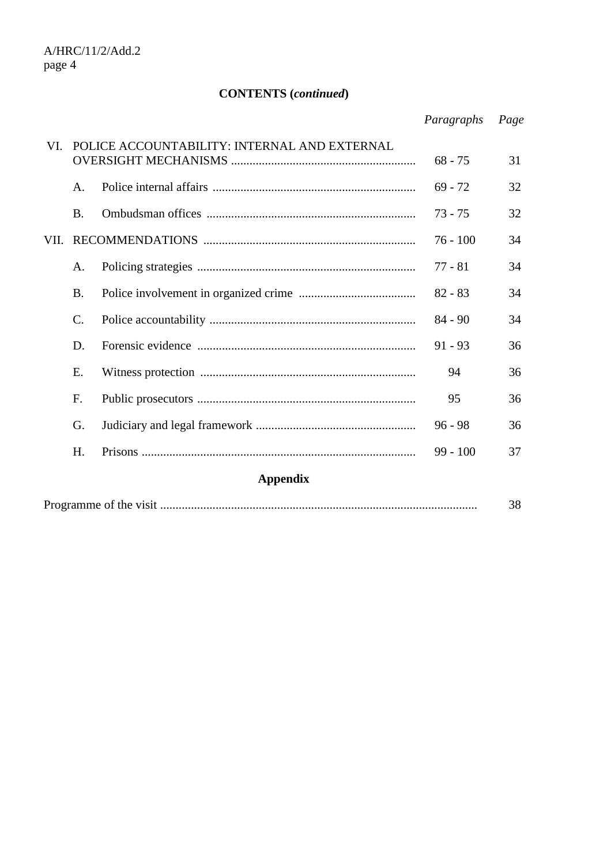# **CONTENTS (***continued***)**

|                 |                                              |  | Paragraphs | Page |  |  |  |
|-----------------|----------------------------------------------|--|------------|------|--|--|--|
| VL.             | POLICE ACCOUNTABILITY: INTERNAL AND EXTERNAL |  | $68 - 75$  | 31   |  |  |  |
|                 | A.                                           |  | $69 - 72$  | 32   |  |  |  |
|                 | <b>B.</b>                                    |  | $73 - 75$  | 32   |  |  |  |
| VII.            |                                              |  | $76 - 100$ | 34   |  |  |  |
|                 | A.                                           |  | $77 - 81$  | 34   |  |  |  |
|                 | <b>B.</b>                                    |  | $82 - 83$  | 34   |  |  |  |
|                 | $\mathcal{C}$ .                              |  | $84 - 90$  | 34   |  |  |  |
|                 | D.                                           |  | $91 - 93$  | 36   |  |  |  |
|                 | E.                                           |  | 94         | 36   |  |  |  |
|                 | F.                                           |  | 95         | 36   |  |  |  |
|                 | G.                                           |  | $96 - 98$  | 36   |  |  |  |
|                 | H.                                           |  | $99 - 100$ | 37   |  |  |  |
| <b>Appendix</b> |                                              |  |            |      |  |  |  |
|                 |                                              |  |            |      |  |  |  |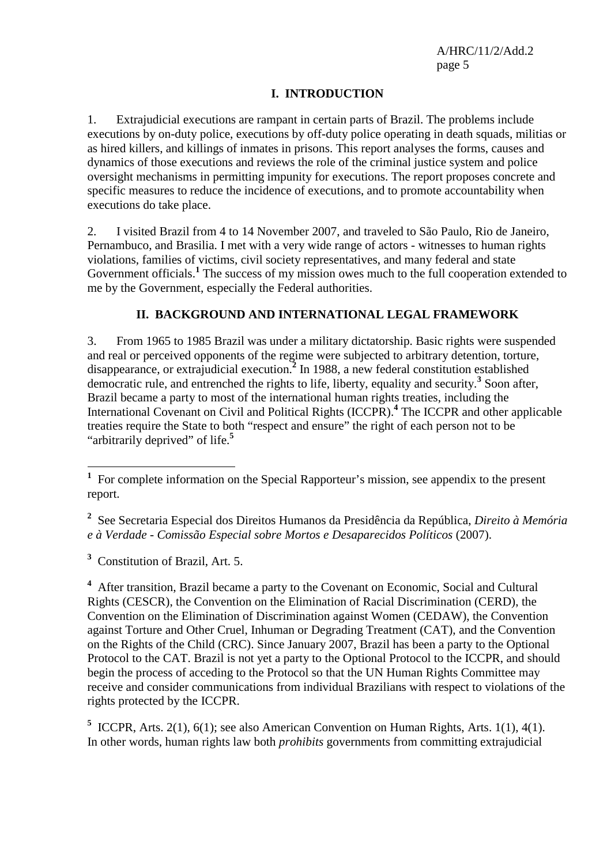## **I. INTRODUCTION**

1. Extrajudicial executions are rampant in certain parts of Brazil. The problems include executions by on-duty police, executions by off-duty police operating in death squads, militias or as hired killers, and killings of inmates in prisons. This report analyses the forms, causes and dynamics of those executions and reviews the role of the criminal justice system and police oversight mechanisms in permitting impunity for executions. The report proposes concrete and specific measures to reduce the incidence of executions, and to promote accountability when executions do take place.

2. I visited Brazil from 4 to 14 November 2007, and traveled to São Paulo, Rio de Janeiro, Pernambuco, and Brasilia. I met with a very wide range of actors - witnesses to human rights violations, families of victims, civil society representatives, and many federal and state Government officials.<sup>1</sup> The success of my mission owes much to the full cooperation extended to me by the Government, especially the Federal authorities.

## **II. BACKGROUND AND INTERNATIONAL LEGAL FRAMEWORK**

3. From 1965 to 1985 Brazil was under a military dictatorship. Basic rights were suspended and real or perceived opponents of the regime were subjected to arbitrary detention, torture, disappearance, or extrajudicial execution.<sup>2</sup> In 1988, a new federal constitution established democratic rule, and entrenched the rights to life, liberty, equality and security.**<sup>3</sup>** Soon after, Brazil became a party to most of the international human rights treaties, including the International Covenant on Civil and Political Rights (ICCPR).**<sup>4</sup>** The ICCPR and other applicable treaties require the State to both "respect and ensure" the right of each person not to be "arbitrarily deprived" of life.**<sup>5</sup>**

**3** Constitution of Brazil, Art. 5.

<sup>4</sup> After transition, Brazil became a party to the Covenant on Economic, Social and Cultural Rights (CESCR), the Convention on the Elimination of Racial Discrimination (CERD), the Convention on the Elimination of Discrimination against Women (CEDAW), the Convention against Torture and Other Cruel, Inhuman or Degrading Treatment (CAT), and the Convention on the Rights of the Child (CRC). Since January 2007, Brazil has been a party to the Optional Protocol to the CAT. Brazil is not yet a party to the Optional Protocol to the ICCPR, and should begin the process of acceding to the Protocol so that the UN Human Rights Committee may receive and consider communications from individual Brazilians with respect to violations of the rights protected by the ICCPR.

<sup>5</sup> ICCPR, Arts. 2(1), 6(1); see also American Convention on Human Rights, Arts. 1(1), 4(1). In other words, human rights law both *prohibits* governments from committing extrajudicial

<sup>&</sup>lt;sup>1</sup> For complete information on the Special Rapporteur's mission, see appendix to the present report.

**<sup>2</sup>** See Secretaria Especial dos Direitos Humanos da Presidência da República, *Direito à Memória e à Verdade - Comissão Especial sobre Mortos e Desaparecidos Políticos* (2007).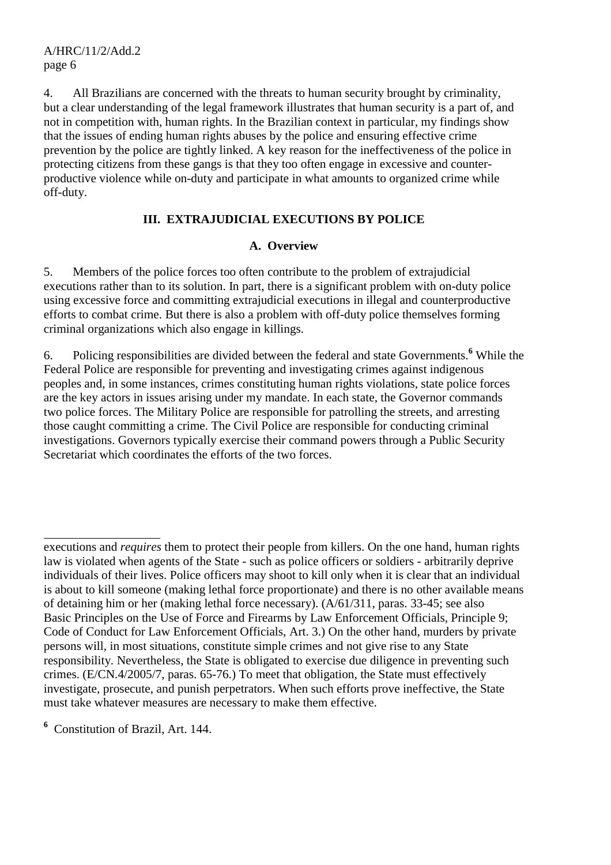4. All Brazilians are concerned with the threats to human security brought by criminality, but a clear understanding of the legal framework illustrates that human security is a part of, and not in competition with, human rights. In the Brazilian context in particular, my findings show that the issues of ending human rights abuses by the police and ensuring effective crime prevention by the police are tightly linked. A key reason for the ineffectiveness of the police in protecting citizens from these gangs is that they too often engage in excessive and counterproductive violence while on-duty and participate in what amounts to organized crime while off-duty.

## **III. EXTRAJUDICIAL EXECUTIONS BY POLICE**

#### **A. Overview**

5. Members of the police forces too often contribute to the problem of extrajudicial executions rather than to its solution. In part, there is a significant problem with on-duty police using excessive force and committing extrajudicial executions in illegal and counterproductive efforts to combat crime. But there is also a problem with off-duty police themselves forming criminal organizations which also engage in killings.

6. Policing responsibilities are divided between the federal and state Governments.**<sup>6</sup>** While the Federal Police are responsible for preventing and investigating crimes against indigenous peoples and, in some instances, crimes constituting human rights violations, state police forces are the key actors in issues arising under my mandate. In each state, the Governor commands two police forces. The Military Police are responsible for patrolling the streets, and arresting those caught committing a crime. The Civil Police are responsible for conducting criminal investigations. Governors typically exercise their command powers through a Public Security Secretariat which coordinates the efforts of the two forces.

**6** Constitution of Brazil, Art. 144.

 $\overline{a}$ 

executions and *requires* them to protect their people from killers. On the one hand, human rights law is violated when agents of the State - such as police officers or soldiers - arbitrarily deprive individuals of their lives. Police officers may shoot to kill only when it is clear that an individual is about to kill someone (making lethal force proportionate) and there is no other available means of detaining him or her (making lethal force necessary). (A/61/311, paras. 33-45; see also Basic Principles on the Use of Force and Firearms by Law Enforcement Officials, Principle 9; Code of Conduct for Law Enforcement Officials, Art. 3.) On the other hand, murders by private persons will, in most situations, constitute simple crimes and not give rise to any State responsibility. Nevertheless, the State is obligated to exercise due diligence in preventing such crimes. (E/CN.4/2005/7, paras. 65-76.) To meet that obligation, the State must effectively investigate, prosecute, and punish perpetrators. When such efforts prove ineffective, the State must take whatever measures are necessary to make them effective.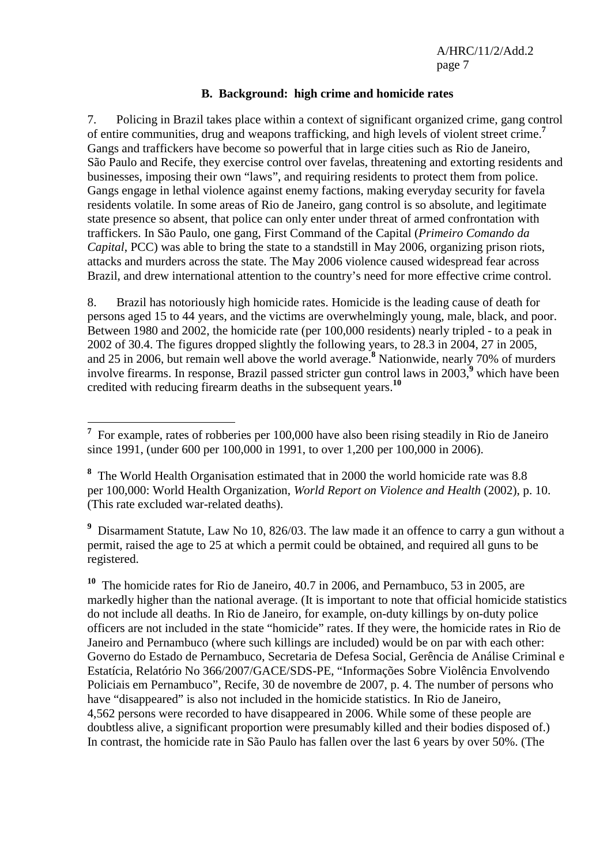#### **B. Background: high crime and homicide rates**

7. Policing in Brazil takes place within a context of significant organized crime, gang control of entire communities, drug and weapons trafficking, and high levels of violent street crime.**<sup>7</sup>** Gangs and traffickers have become so powerful that in large cities such as Rio de Janeiro, São Paulo and Recife, they exercise control over favelas, threatening and extorting residents and businesses, imposing their own "laws", and requiring residents to protect them from police. Gangs engage in lethal violence against enemy factions, making everyday security for favela residents volatile. In some areas of Rio de Janeiro, gang control is so absolute, and legitimate state presence so absent, that police can only enter under threat of armed confrontation with traffickers. In São Paulo, one gang, First Command of the Capital (*Primeiro Comando da Capital*, PCC) was able to bring the state to a standstill in May 2006, organizing prison riots, attacks and murders across the state. The May 2006 violence caused widespread fear across Brazil, and drew international attention to the country's need for more effective crime control.

8. Brazil has notoriously high homicide rates. Homicide is the leading cause of death for persons aged 15 to 44 years, and the victims are overwhelmingly young, male, black, and poor. Between 1980 and 2002, the homicide rate (per 100,000 residents) nearly tripled - to a peak in 2002 of 30.4. The figures dropped slightly the following years, to 28.3 in 2004, 27 in 2005, and 25 in 2006, but remain well above the world average.**<sup>8</sup>** Nationwide, nearly 70% of murders involve firearms. In response, Brazil passed stricter gun control laws in 2003,<sup>9</sup> which have been credited with reducing firearm deaths in the subsequent years.**<sup>10</sup>**

<sup>&</sup>lt;sup>7</sup> For example, rates of robberies per 100,000 have also been rising steadily in Rio de Janeiro since 1991, (under 600 per 100,000 in 1991, to over 1,200 per 100,000 in 2006).

**<sup>8</sup>** The World Health Organisation estimated that in 2000 the world homicide rate was 8.8 per 100,000: World Health Organization, *World Report on Violence and Health* (2002), p. 10. (This rate excluded war-related deaths).

<sup>&</sup>lt;sup>9</sup> Disarmament Statute, Law No 10, 826/03. The law made it an offence to carry a gun without a permit, raised the age to 25 at which a permit could be obtained, and required all guns to be registered.

**<sup>10</sup>** The homicide rates for Rio de Janeiro, 40.7 in 2006, and Pernambuco, 53 in 2005, are markedly higher than the national average. (It is important to note that official homicide statistics do not include all deaths. In Rio de Janeiro, for example, on-duty killings by on-duty police officers are not included in the state "homicide" rates. If they were, the homicide rates in Rio de Janeiro and Pernambuco (where such killings are included) would be on par with each other: Governo do Estado de Pernambuco, Secretaria de Defesa Social, Gerência de Análise Criminal e Estatícia, Relatório No 366/2007/GACE/SDS-PE, "Informações Sobre Violência Envolvendo Policiais em Pernambuco", Recife, 30 de novembre de 2007, p. 4. The number of persons who have "disappeared" is also not included in the homicide statistics. In Rio de Janeiro, 4,562 persons were recorded to have disappeared in 2006. While some of these people are doubtless alive, a significant proportion were presumably killed and their bodies disposed of.) In contrast, the homicide rate in São Paulo has fallen over the last 6 years by over 50%. (The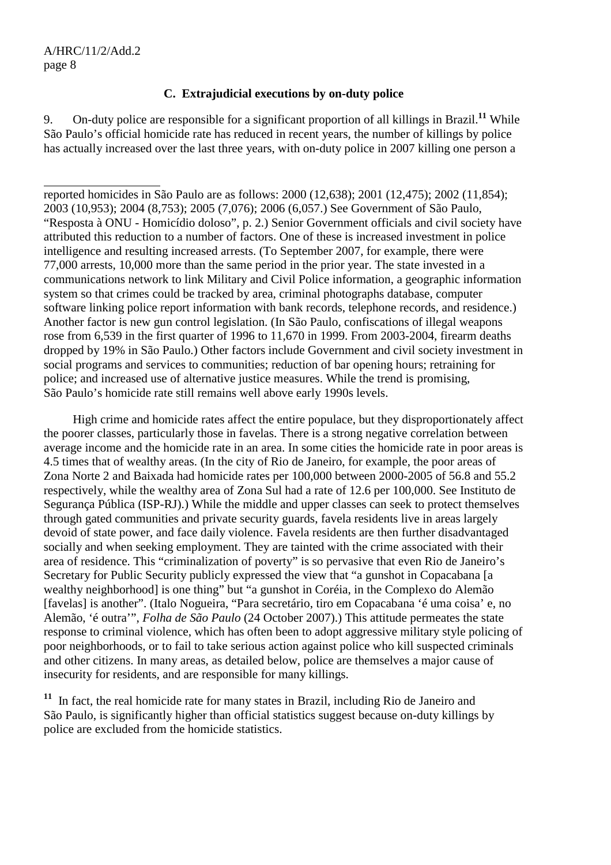$\overline{a}$ 

## **C. Extrajudicial executions by on-duty police**

9. On-duty police are responsible for a significant proportion of all killings in Brazil.**<sup>11</sup>** While São Paulo's official homicide rate has reduced in recent years, the number of killings by police has actually increased over the last three years, with on-duty police in 2007 killing one person a

reported homicides in São Paulo are as follows: 2000 (12,638); 2001 (12,475); 2002 (11,854); 2003 (10,953); 2004 (8,753); 2005 (7,076); 2006 (6,057.) See Government of São Paulo, "Resposta à ONU - Homicídio doloso", p. 2.) Senior Government officials and civil society have attributed this reduction to a number of factors. One of these is increased investment in police intelligence and resulting increased arrests. (To September 2007, for example, there were 77,000 arrests, 10,000 more than the same period in the prior year. The state invested in a communications network to link Military and Civil Police information, a geographic information system so that crimes could be tracked by area, criminal photographs database, computer software linking police report information with bank records, telephone records, and residence.) Another factor is new gun control legislation. (In São Paulo, confiscations of illegal weapons rose from 6,539 in the first quarter of 1996 to 11,670 in 1999. From 2003-2004, firearm deaths dropped by 19% in São Paulo.) Other factors include Government and civil society investment in social programs and services to communities; reduction of bar opening hours; retraining for police; and increased use of alternative justice measures. While the trend is promising, São Paulo's homicide rate still remains well above early 1990s levels.

 High crime and homicide rates affect the entire populace, but they disproportionately affect the poorer classes, particularly those in favelas. There is a strong negative correlation between average income and the homicide rate in an area. In some cities the homicide rate in poor areas is 4.5 times that of wealthy areas. (In the city of Rio de Janeiro, for example, the poor areas of Zona Norte 2 and Baixada had homicide rates per 100,000 between 2000-2005 of 56.8 and 55.2 respectively, while the wealthy area of Zona Sul had a rate of 12.6 per 100,000. See Instituto de Segurança Pública (ISP-RJ).) While the middle and upper classes can seek to protect themselves through gated communities and private security guards, favela residents live in areas largely devoid of state power, and face daily violence. Favela residents are then further disadvantaged socially and when seeking employment. They are tainted with the crime associated with their area of residence. This "criminalization of poverty" is so pervasive that even Rio de Janeiro's Secretary for Public Security publicly expressed the view that "a gunshot in Copacabana [a wealthy neighborhood] is one thing" but "a gunshot in Coréia, in the Complexo do Alemão [favelas] is another". (Italo Nogueira, "Para secretário, tiro em Copacabana 'é uma coisa' e, no Alemão, 'é outra'", *Folha de São Paulo* (24 October 2007).) This attitude permeates the state response to criminal violence, which has often been to adopt aggressive military style policing of poor neighborhoods, or to fail to take serious action against police who kill suspected criminals and other citizens. In many areas, as detailed below, police are themselves a major cause of insecurity for residents, and are responsible for many killings.

**<sup>11</sup>** In fact, the real homicide rate for many states in Brazil, including Rio de Janeiro and São Paulo, is significantly higher than official statistics suggest because on-duty killings by police are excluded from the homicide statistics.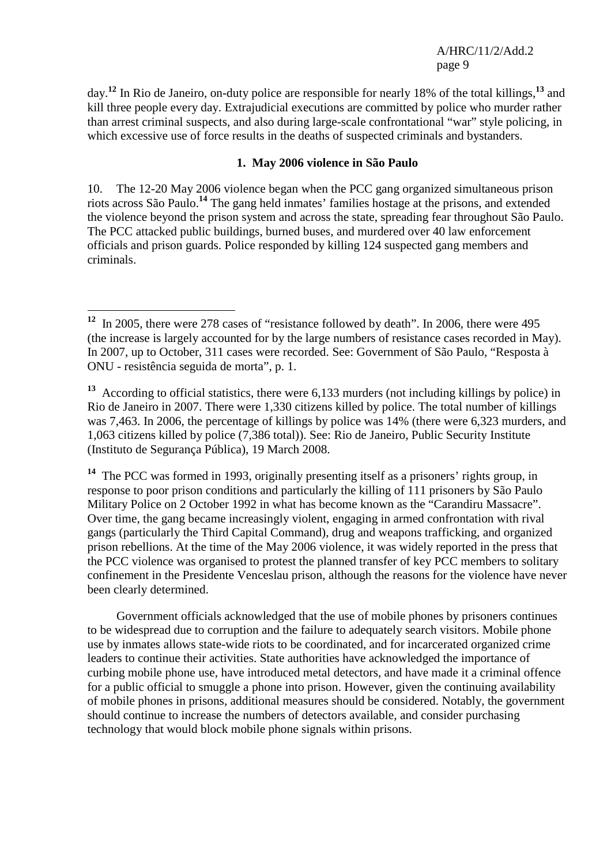day.**<sup>12</sup>** In Rio de Janeiro, on-duty police are responsible for nearly 18% of the total killings,**<sup>13</sup>** and kill three people every day. Extrajudicial executions are committed by police who murder rather than arrest criminal suspects, and also during large-scale confrontational "war" style policing, in which excessive use of force results in the deaths of suspected criminals and bystanders.

#### **1. May 2006 violence in São Paulo**

10. The 12-20 May 2006 violence began when the PCC gang organized simultaneous prison riots across São Paulo.**<sup>14</sup>** The gang held inmates' families hostage at the prisons, and extended the violence beyond the prison system and across the state, spreading fear throughout São Paulo. The PCC attacked public buildings, burned buses, and murdered over 40 law enforcement officials and prison guards. Police responded by killing 124 suspected gang members and criminals.

 $\overline{a}$ 

**<sup>14</sup>** The PCC was formed in 1993, originally presenting itself as a prisoners' rights group, in response to poor prison conditions and particularly the killing of 111 prisoners by São Paulo Military Police on 2 October 1992 in what has become known as the "Carandiru Massacre". Over time, the gang became increasingly violent, engaging in armed confrontation with rival gangs (particularly the Third Capital Command), drug and weapons trafficking, and organized prison rebellions. At the time of the May 2006 violence, it was widely reported in the press that the PCC violence was organised to protest the planned transfer of key PCC members to solitary confinement in the Presidente Venceslau prison, although the reasons for the violence have never been clearly determined.

 Government officials acknowledged that the use of mobile phones by prisoners continues to be widespread due to corruption and the failure to adequately search visitors. Mobile phone use by inmates allows state-wide riots to be coordinated, and for incarcerated organized crime leaders to continue their activities. State authorities have acknowledged the importance of curbing mobile phone use, have introduced metal detectors, and have made it a criminal offence for a public official to smuggle a phone into prison. However, given the continuing availability of mobile phones in prisons, additional measures should be considered. Notably, the government should continue to increase the numbers of detectors available, and consider purchasing technology that would block mobile phone signals within prisons.

**<sup>12</sup>** In 2005, there were 278 cases of "resistance followed by death". In 2006, there were 495 (the increase is largely accounted for by the large numbers of resistance cases recorded in May). In 2007, up to October, 311 cases were recorded. See: Government of São Paulo, "Resposta à ONU - resistência seguida de morta", p. 1.

**<sup>13</sup>** According to official statistics, there were 6,133 murders (not including killings by police) in Rio de Janeiro in 2007. There were 1,330 citizens killed by police. The total number of killings was 7,463. In 2006, the percentage of killings by police was 14% (there were 6,323 murders, and 1,063 citizens killed by police (7,386 total)). See: Rio de Janeiro, Public Security Institute (Instituto de Segurança Pública), 19 March 2008.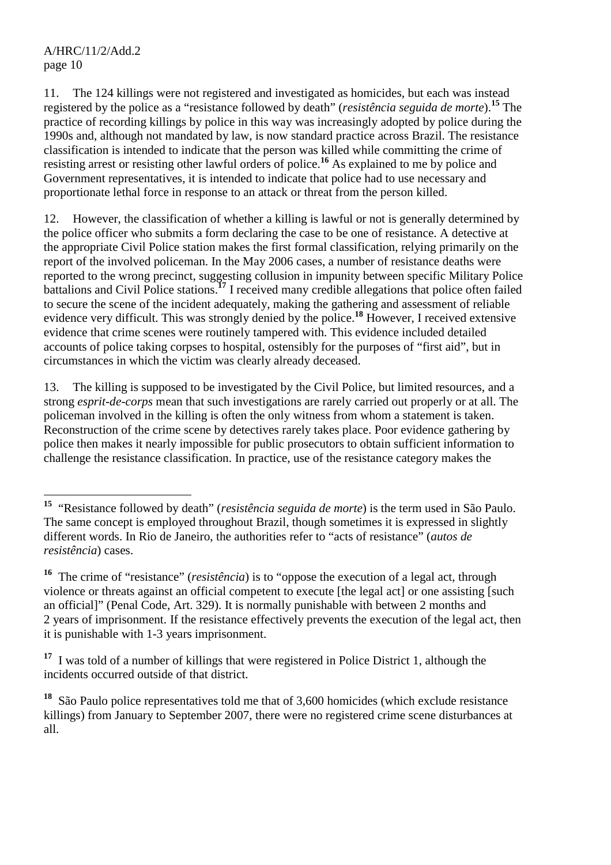11. The 124 killings were not registered and investigated as homicides, but each was instead registered by the police as a "resistance followed by death" (*resistência seguida de morte*).**<sup>15</sup>** The practice of recording killings by police in this way was increasingly adopted by police during the 1990s and, although not mandated by law, is now standard practice across Brazil. The resistance classification is intended to indicate that the person was killed while committing the crime of resisting arrest or resisting other lawful orders of police.**<sup>16</sup>** As explained to me by police and Government representatives, it is intended to indicate that police had to use necessary and proportionate lethal force in response to an attack or threat from the person killed.

12. However, the classification of whether a killing is lawful or not is generally determined by the police officer who submits a form declaring the case to be one of resistance. A detective at the appropriate Civil Police station makes the first formal classification, relying primarily on the report of the involved policeman. In the May 2006 cases, a number of resistance deaths were reported to the wrong precinct, suggesting collusion in impunity between specific Military Police battalions and Civil Police stations.**<sup>17</sup>** I received many credible allegations that police often failed to secure the scene of the incident adequately, making the gathering and assessment of reliable evidence very difficult. This was strongly denied by the police.**<sup>18</sup>** However, I received extensive evidence that crime scenes were routinely tampered with. This evidence included detailed accounts of police taking corpses to hospital, ostensibly for the purposes of "first aid", but in circumstances in which the victim was clearly already deceased.

13. The killing is supposed to be investigated by the Civil Police, but limited resources, and a strong *esprit-de-corps* mean that such investigations are rarely carried out properly or at all. The policeman involved in the killing is often the only witness from whom a statement is taken. Reconstruction of the crime scene by detectives rarely takes place. Poor evidence gathering by police then makes it nearly impossible for public prosecutors to obtain sufficient information to challenge the resistance classification. In practice, use of the resistance category makes the

 $\overline{a}$ **<sup>15</sup>** "Resistance followed by death" (*resistência seguida de morte*) is the term used in São Paulo. The same concept is employed throughout Brazil, though sometimes it is expressed in slightly different words. In Rio de Janeiro, the authorities refer to "acts of resistance" (*autos de resistência*) cases.

**<sup>16</sup>** The crime of "resistance" (*resistência*) is to "oppose the execution of a legal act, through violence or threats against an official competent to execute [the legal act] or one assisting [such an official]" (Penal Code, Art. 329). It is normally punishable with between 2 months and 2 years of imprisonment. If the resistance effectively prevents the execution of the legal act, then it is punishable with 1-3 years imprisonment.

**<sup>17</sup>** I was told of a number of killings that were registered in Police District 1, although the incidents occurred outside of that district.

**<sup>18</sup>** São Paulo police representatives told me that of 3,600 homicides (which exclude resistance killings) from January to September 2007, there were no registered crime scene disturbances at all.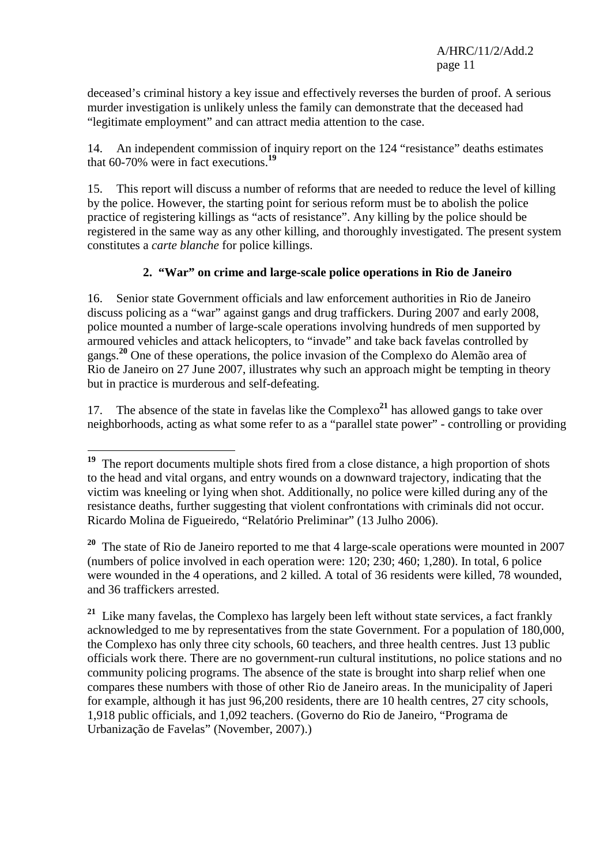deceased's criminal history a key issue and effectively reverses the burden of proof. A serious murder investigation is unlikely unless the family can demonstrate that the deceased had "legitimate employment" and can attract media attention to the case.

14. An independent commission of inquiry report on the 124 "resistance" deaths estimates that 60-70% were in fact executions.**<sup>19</sup>**

15. This report will discuss a number of reforms that are needed to reduce the level of killing by the police. However, the starting point for serious reform must be to abolish the police practice of registering killings as "acts of resistance". Any killing by the police should be registered in the same way as any other killing, and thoroughly investigated. The present system constitutes a *carte blanche* for police killings.

# **2. "War" on crime and large-scale police operations in Rio de Janeiro**

16. Senior state Government officials and law enforcement authorities in Rio de Janeiro discuss policing as a "war" against gangs and drug traffickers. During 2007 and early 2008, police mounted a number of large-scale operations involving hundreds of men supported by armoured vehicles and attack helicopters, to "invade" and take back favelas controlled by gangs.**<sup>20</sup>** One of these operations, the police invasion of the Complexo do Alemão area of Rio de Janeiro on 27 June 2007, illustrates why such an approach might be tempting in theory but in practice is murderous and self-defeating.

17. The absence of the state in favelas like the  $Complexo<sup>21</sup>$  has allowed gangs to take over neighborhoods, acting as what some refer to as a "parallel state power" - controlling or providing

 $\overline{a}$ 

**<sup>20</sup>** The state of Rio de Janeiro reported to me that 4 large-scale operations were mounted in 2007 (numbers of police involved in each operation were: 120; 230; 460; 1,280). In total, 6 police were wounded in the 4 operations, and 2 killed. A total of 36 residents were killed, 78 wounded, and 36 traffickers arrested.

<sup>21</sup> Like many favelas, the Complexo has largely been left without state services, a fact frankly acknowledged to me by representatives from the state Government. For a population of 180,000, the Complexo has only three city schools, 60 teachers, and three health centres. Just 13 public officials work there. There are no government-run cultural institutions, no police stations and no community policing programs. The absence of the state is brought into sharp relief when one compares these numbers with those of other Rio de Janeiro areas. In the municipality of Japeri for example, although it has just 96,200 residents, there are 10 health centres, 27 city schools, 1,918 public officials, and 1,092 teachers. (Governo do Rio de Janeiro, "Programa de Urbanização de Favelas" (November, 2007).)

<sup>&</sup>lt;sup>19</sup> The report documents multiple shots fired from a close distance, a high proportion of shots to the head and vital organs, and entry wounds on a downward trajectory, indicating that the victim was kneeling or lying when shot. Additionally, no police were killed during any of the resistance deaths, further suggesting that violent confrontations with criminals did not occur. Ricardo Molina de Figueiredo, "Relatório Preliminar" (13 Julho 2006).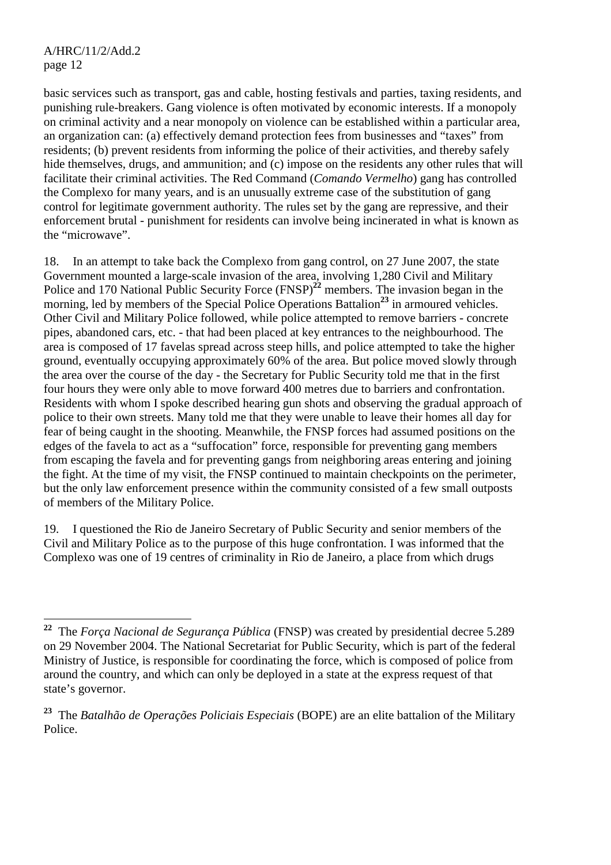basic services such as transport, gas and cable, hosting festivals and parties, taxing residents, and punishing rule-breakers. Gang violence is often motivated by economic interests. If a monopoly on criminal activity and a near monopoly on violence can be established within a particular area, an organization can: (a) effectively demand protection fees from businesses and "taxes" from residents; (b) prevent residents from informing the police of their activities, and thereby safely hide themselves, drugs, and ammunition; and (c) impose on the residents any other rules that will facilitate their criminal activities. The Red Command (*Comando Vermelho*) gang has controlled the Complexo for many years, and is an unusually extreme case of the substitution of gang control for legitimate government authority. The rules set by the gang are repressive, and their enforcement brutal - punishment for residents can involve being incinerated in what is known as the "microwave".

18. In an attempt to take back the Complexo from gang control, on 27 June 2007, the state Government mounted a large-scale invasion of the area, involving 1,280 Civil and Military Police and 170 National Public Security Force (FNSP)<sup>22</sup> members. The invasion began in the morning, led by members of the Special Police Operations Battalion<sup>23</sup> in armoured vehicles. Other Civil and Military Police followed, while police attempted to remove barriers - concrete pipes, abandoned cars, etc. - that had been placed at key entrances to the neighbourhood. The area is composed of 17 favelas spread across steep hills, and police attempted to take the higher ground, eventually occupying approximately 60% of the area. But police moved slowly through the area over the course of the day - the Secretary for Public Security told me that in the first four hours they were only able to move forward 400 metres due to barriers and confrontation. Residents with whom I spoke described hearing gun shots and observing the gradual approach of police to their own streets. Many told me that they were unable to leave their homes all day for fear of being caught in the shooting. Meanwhile, the FNSP forces had assumed positions on the edges of the favela to act as a "suffocation" force, responsible for preventing gang members from escaping the favela and for preventing gangs from neighboring areas entering and joining the fight. At the time of my visit, the FNSP continued to maintain checkpoints on the perimeter, but the only law enforcement presence within the community consisted of a few small outposts of members of the Military Police.

19. I questioned the Rio de Janeiro Secretary of Public Security and senior members of the Civil and Military Police as to the purpose of this huge confrontation. I was informed that the Complexo was one of 19 centres of criminality in Rio de Janeiro, a place from which drugs

<sup>22</sup> **<sup>22</sup>** The *Força Nacional de Segurança Pública* (FNSP) was created by presidential decree 5.289 on 29 November 2004. The National Secretariat for Public Security, which is part of the federal Ministry of Justice, is responsible for coordinating the force, which is composed of police from around the country, and which can only be deployed in a state at the express request of that state's governor.

**<sup>23</sup>** The *Batalhão de Operações Policiais Especiais* (BOPE) are an elite battalion of the Military Police.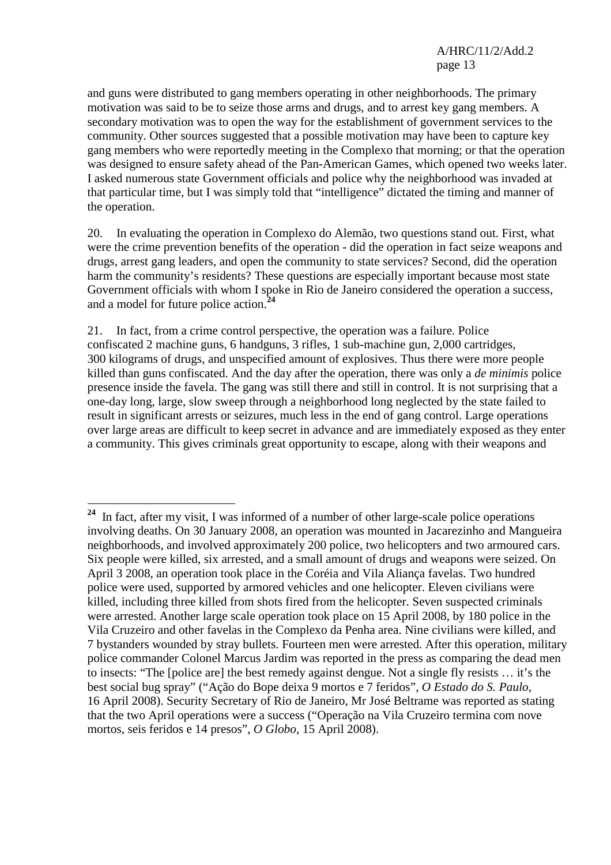and guns were distributed to gang members operating in other neighborhoods. The primary motivation was said to be to seize those arms and drugs, and to arrest key gang members. A secondary motivation was to open the way for the establishment of government services to the community. Other sources suggested that a possible motivation may have been to capture key gang members who were reportedly meeting in the Complexo that morning; or that the operation was designed to ensure safety ahead of the Pan-American Games, which opened two weeks later. I asked numerous state Government officials and police why the neighborhood was invaded at that particular time, but I was simply told that "intelligence" dictated the timing and manner of the operation.

20. In evaluating the operation in Complexo do Alemão, two questions stand out. First, what were the crime prevention benefits of the operation - did the operation in fact seize weapons and drugs, arrest gang leaders, and open the community to state services? Second, did the operation harm the community's residents? These questions are especially important because most state Government officials with whom I spoke in Rio de Janeiro considered the operation a success, and a model for future police action.**<sup>24</sup>**

21. In fact, from a crime control perspective, the operation was a failure. Police confiscated 2 machine guns, 6 handguns, 3 rifles, 1 sub-machine gun, 2,000 cartridges, 300 kilograms of drugs, and unspecified amount of explosives. Thus there were more people killed than guns confiscated. And the day after the operation, there was only a *de minimis* police presence inside the favela. The gang was still there and still in control. It is not surprising that a one-day long, large, slow sweep through a neighborhood long neglected by the state failed to result in significant arrests or seizures, much less in the end of gang control. Large operations over large areas are difficult to keep secret in advance and are immediately exposed as they enter a community. This gives criminals great opportunity to escape, along with their weapons and

 $\overline{a}$ 

**<sup>24</sup>** In fact, after my visit, I was informed of a number of other large-scale police operations involving deaths. On 30 January 2008, an operation was mounted in Jacarezinho and Mangueira neighborhoods, and involved approximately 200 police, two helicopters and two armoured cars. Six people were killed, six arrested, and a small amount of drugs and weapons were seized. On April 3 2008, an operation took place in the Coréia and Vila Aliança favelas. Two hundred police were used, supported by armored vehicles and one helicopter. Eleven civilians were killed, including three killed from shots fired from the helicopter. Seven suspected criminals were arrested. Another large scale operation took place on 15 April 2008, by 180 police in the Vila Cruzeiro and other favelas in the Complexo da Penha area. Nine civilians were killed, and 7 bystanders wounded by stray bullets. Fourteen men were arrested. After this operation, military police commander Colonel Marcus Jardim was reported in the press as comparing the dead men to insects: "The [police are] the best remedy against dengue. Not a single fly resists … it's the best social bug spray" ("Ação do Bope deixa 9 mortos e 7 feridos", *O Estado do S. Paulo*, 16 April 2008). Security Secretary of Rio de Janeiro, Mr José Beltrame was reported as stating that the two April operations were a success ("Operação na Vila Cruzeiro termina com nove mortos, seis feridos e 14 presos", *O Globo*, 15 April 2008).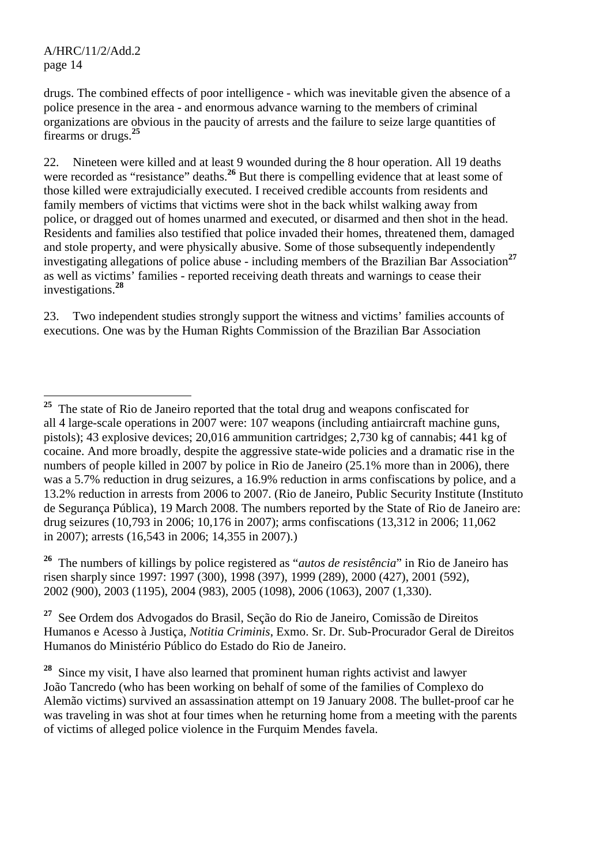drugs. The combined effects of poor intelligence - which was inevitable given the absence of a police presence in the area - and enormous advance warning to the members of criminal organizations are obvious in the paucity of arrests and the failure to seize large quantities of firearms or drugs.**<sup>25</sup>**

22. Nineteen were killed and at least 9 wounded during the 8 hour operation. All 19 deaths were recorded as "resistance" deaths.<sup>26</sup> But there is compelling evidence that at least some of those killed were extrajudicially executed. I received credible accounts from residents and family members of victims that victims were shot in the back whilst walking away from police, or dragged out of homes unarmed and executed, or disarmed and then shot in the head. Residents and families also testified that police invaded their homes, threatened them, damaged and stole property, and were physically abusive. Some of those subsequently independently investigating allegations of police abuse - including members of the Brazilian Bar Association**<sup>27</sup>** as well as victims' families - reported receiving death threats and warnings to cease their investigations.**<sup>28</sup>**

23. Two independent studies strongly support the witness and victims' families accounts of executions. One was by the Human Rights Commission of the Brazilian Bar Association

**<sup>26</sup>** The numbers of killings by police registered as "*autos de resistência*" in Rio de Janeiro has risen sharply since 1997: 1997 (300), 1998 (397), 1999 (289), 2000 (427), 2001 (592), 2002 (900), 2003 (1195), 2004 (983), 2005 (1098), 2006 (1063), 2007 (1,330).

**<sup>27</sup>** See Ordem dos Advogados do Brasil, Seção do Rio de Janeiro, Comissão de Direitos Humanos e Acesso à Justiça, *Notitia Criminis*, Exmo. Sr. Dr. Sub-Procurador Geral de Direitos Humanos do Ministério Público do Estado do Rio de Janeiro.

**<sup>28</sup>** Since my visit, I have also learned that prominent human rights activist and lawyer João Tancredo (who has been working on behalf of some of the families of Complexo do Alemão victims) survived an assassination attempt on 19 January 2008. The bullet-proof car he was traveling in was shot at four times when he returning home from a meeting with the parents of victims of alleged police violence in the Furquim Mendes favela.

 $\overline{a}$ <sup>25</sup> The state of Rio de Janeiro reported that the total drug and weapons confiscated for all 4 large-scale operations in 2007 were: 107 weapons (including antiaircraft machine guns, pistols); 43 explosive devices; 20,016 ammunition cartridges; 2,730 kg of cannabis; 441 kg of cocaine. And more broadly, despite the aggressive state-wide policies and a dramatic rise in the numbers of people killed in 2007 by police in Rio de Janeiro (25.1% more than in 2006), there was a 5.7% reduction in drug seizures, a 16.9% reduction in arms confiscations by police, and a 13.2% reduction in arrests from 2006 to 2007. (Rio de Janeiro, Public Security Institute (Instituto de Segurança Pública), 19 March 2008. The numbers reported by the State of Rio de Janeiro are: drug seizures (10,793 in 2006; 10,176 in 2007); arms confiscations (13,312 in 2006; 11,062 in 2007); arrests (16,543 in 2006; 14,355 in 2007).)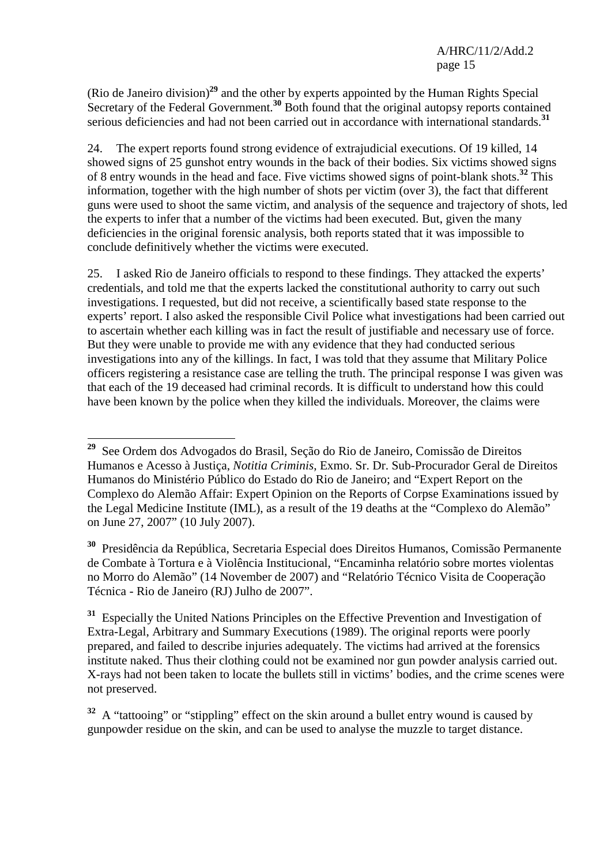(Rio de Janeiro division)**<sup>29</sup>** and the other by experts appointed by the Human Rights Special Secretary of the Federal Government.**<sup>30</sup>** Both found that the original autopsy reports contained serious deficiencies and had not been carried out in accordance with international standards.**<sup>31</sup>**

24. The expert reports found strong evidence of extrajudicial executions. Of 19 killed, 14 showed signs of 25 gunshot entry wounds in the back of their bodies. Six victims showed signs of 8 entry wounds in the head and face. Five victims showed signs of point-blank shots.**<sup>32</sup>** This information, together with the high number of shots per victim (over 3), the fact that different guns were used to shoot the same victim, and analysis of the sequence and trajectory of shots, led the experts to infer that a number of the victims had been executed. But, given the many deficiencies in the original forensic analysis, both reports stated that it was impossible to conclude definitively whether the victims were executed.

25. I asked Rio de Janeiro officials to respond to these findings. They attacked the experts' credentials, and told me that the experts lacked the constitutional authority to carry out such investigations. I requested, but did not receive, a scientifically based state response to the experts' report. I also asked the responsible Civil Police what investigations had been carried out to ascertain whether each killing was in fact the result of justifiable and necessary use of force. But they were unable to provide me with any evidence that they had conducted serious investigations into any of the killings. In fact, I was told that they assume that Military Police officers registering a resistance case are telling the truth. The principal response I was given was that each of the 19 deceased had criminal records. It is difficult to understand how this could have been known by the police when they killed the individuals. Moreover, the claims were

**<sup>30</sup>** Presidência da República, Secretaria Especial does Direitos Humanos, Comissão Permanente de Combate à Tortura e à Violência Institucional, "Encaminha relatório sobre mortes violentas no Morro do Alemão" (14 November de 2007) and "Relatório Técnico Visita de Cooperação Técnica - Rio de Janeiro (RJ) Julho de 2007".

**<sup>31</sup>** Especially the United Nations Principles on the Effective Prevention and Investigation of Extra-Legal, Arbitrary and Summary Executions (1989). The original reports were poorly prepared, and failed to describe injuries adequately. The victims had arrived at the forensics institute naked. Thus their clothing could not be examined nor gun powder analysis carried out. X-rays had not been taken to locate the bullets still in victims' bodies, and the crime scenes were not preserved.

<sup>32</sup> A "tattooing" or "stippling" effect on the skin around a bullet entry wound is caused by gunpowder residue on the skin, and can be used to analyse the muzzle to target distance.

 $\overline{a}$ **<sup>29</sup>** See Ordem dos Advogados do Brasil, Seção do Rio de Janeiro, Comissão de Direitos Humanos e Acesso à Justiça, *Notitia Criminis*, Exmo. Sr. Dr. Sub-Procurador Geral de Direitos Humanos do Ministério Público do Estado do Rio de Janeiro; and "Expert Report on the Complexo do Alemão Affair: Expert Opinion on the Reports of Corpse Examinations issued by the Legal Medicine Institute (IML), as a result of the 19 deaths at the "Complexo do Alemão" on June 27, 2007" (10 July 2007).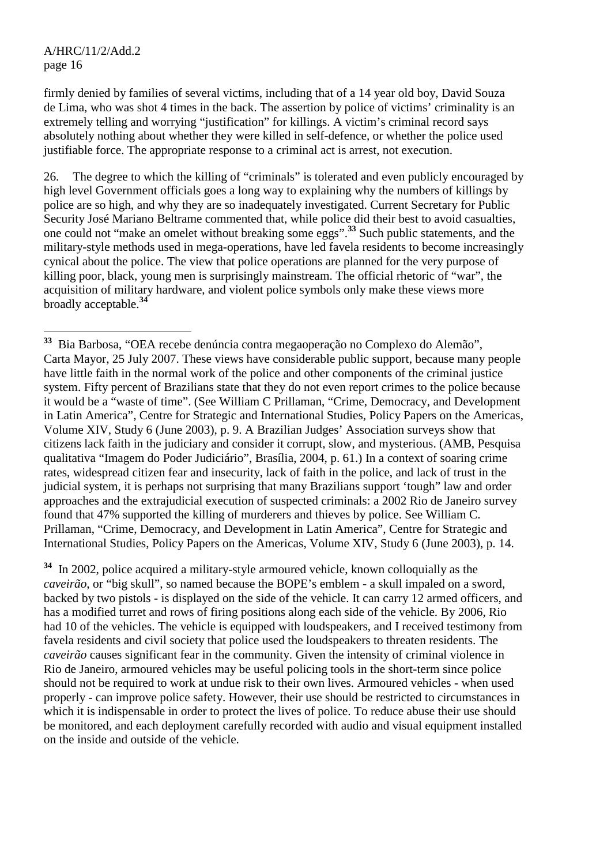firmly denied by families of several victims, including that of a 14 year old boy, David Souza de Lima, who was shot 4 times in the back. The assertion by police of victims' criminality is an extremely telling and worrying "justification" for killings. A victim's criminal record says absolutely nothing about whether they were killed in self-defence, or whether the police used justifiable force. The appropriate response to a criminal act is arrest, not execution.

26. The degree to which the killing of "criminals" is tolerated and even publicly encouraged by high level Government officials goes a long way to explaining why the numbers of killings by police are so high, and why they are so inadequately investigated. Current Secretary for Public Security José Mariano Beltrame commented that, while police did their best to avoid casualties, one could not "make an omelet without breaking some eggs".**<sup>33</sup>** Such public statements, and the military-style methods used in mega-operations, have led favela residents to become increasingly cynical about the police. The view that police operations are planned for the very purpose of killing poor, black, young men is surprisingly mainstream. The official rhetoric of "war", the acquisition of military hardware, and violent police symbols only make these views more broadly acceptable.**<sup>34</sup>**

**<sup>34</sup>** In 2002, police acquired a military-style armoured vehicle, known colloquially as the *caveirão*, or "big skull", so named because the BOPE's emblem - a skull impaled on a sword, backed by two pistols - is displayed on the side of the vehicle. It can carry 12 armed officers, and has a modified turret and rows of firing positions along each side of the vehicle. By 2006, Rio had 10 of the vehicles. The vehicle is equipped with loudspeakers, and I received testimony from favela residents and civil society that police used the loudspeakers to threaten residents. The *caveirão* causes significant fear in the community. Given the intensity of criminal violence in Rio de Janeiro, armoured vehicles may be useful policing tools in the short-term since police should not be required to work at undue risk to their own lives. Armoured vehicles - when used properly - can improve police safety. However, their use should be restricted to circumstances in which it is indispensable in order to protect the lives of police. To reduce abuse their use should be monitored, and each deployment carefully recorded with audio and visual equipment installed on the inside and outside of the vehicle.

 $\overline{a}$ **<sup>33</sup>** Bia Barbosa, "OEA recebe denúncia contra megaoperação no Complexo do Alemão", Carta Mayor, 25 July 2007. These views have considerable public support, because many people have little faith in the normal work of the police and other components of the criminal justice system. Fifty percent of Brazilians state that they do not even report crimes to the police because it would be a "waste of time". (See William C Prillaman, "Crime, Democracy, and Development in Latin America", Centre for Strategic and International Studies, Policy Papers on the Americas, Volume XIV, Study 6 (June 2003), p. 9. A Brazilian Judges' Association surveys show that citizens lack faith in the judiciary and consider it corrupt, slow, and mysterious. (AMB, Pesquisa qualitativa "Imagem do Poder Judiciário", Brasília, 2004, p. 61.) In a context of soaring crime rates, widespread citizen fear and insecurity, lack of faith in the police, and lack of trust in the judicial system, it is perhaps not surprising that many Brazilians support 'tough" law and order approaches and the extrajudicial execution of suspected criminals: a 2002 Rio de Janeiro survey found that 47% supported the killing of murderers and thieves by police. See William C. Prillaman, "Crime, Democracy, and Development in Latin America", Centre for Strategic and International Studies, Policy Papers on the Americas, Volume XIV, Study 6 (June 2003), p. 14.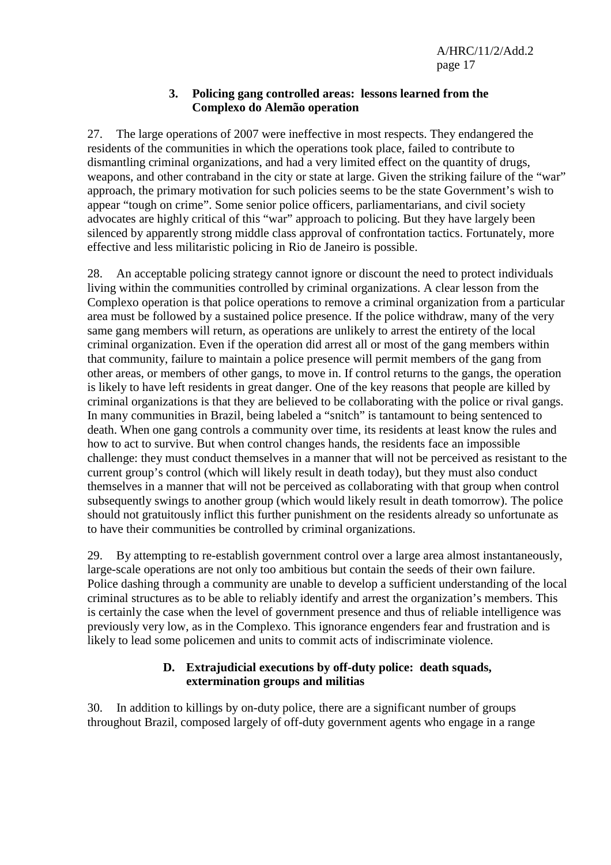#### **3. Policing gang controlled areas: lessons learned from the Complexo do Alemão operation**

27. The large operations of 2007 were ineffective in most respects. They endangered the residents of the communities in which the operations took place, failed to contribute to dismantling criminal organizations, and had a very limited effect on the quantity of drugs, weapons, and other contraband in the city or state at large. Given the striking failure of the "war" approach, the primary motivation for such policies seems to be the state Government's wish to appear "tough on crime". Some senior police officers, parliamentarians, and civil society advocates are highly critical of this "war" approach to policing. But they have largely been silenced by apparently strong middle class approval of confrontation tactics. Fortunately, more effective and less militaristic policing in Rio de Janeiro is possible.

28. An acceptable policing strategy cannot ignore or discount the need to protect individuals living within the communities controlled by criminal organizations. A clear lesson from the Complexo operation is that police operations to remove a criminal organization from a particular area must be followed by a sustained police presence. If the police withdraw, many of the very same gang members will return, as operations are unlikely to arrest the entirety of the local criminal organization. Even if the operation did arrest all or most of the gang members within that community, failure to maintain a police presence will permit members of the gang from other areas, or members of other gangs, to move in. If control returns to the gangs, the operation is likely to have left residents in great danger. One of the key reasons that people are killed by criminal organizations is that they are believed to be collaborating with the police or rival gangs. In many communities in Brazil, being labeled a "snitch" is tantamount to being sentenced to death. When one gang controls a community over time, its residents at least know the rules and how to act to survive. But when control changes hands, the residents face an impossible challenge: they must conduct themselves in a manner that will not be perceived as resistant to the current group's control (which will likely result in death today), but they must also conduct themselves in a manner that will not be perceived as collaborating with that group when control subsequently swings to another group (which would likely result in death tomorrow). The police should not gratuitously inflict this further punishment on the residents already so unfortunate as to have their communities be controlled by criminal organizations.

29. By attempting to re-establish government control over a large area almost instantaneously, large-scale operations are not only too ambitious but contain the seeds of their own failure. Police dashing through a community are unable to develop a sufficient understanding of the local criminal structures as to be able to reliably identify and arrest the organization's members. This is certainly the case when the level of government presence and thus of reliable intelligence was previously very low, as in the Complexo. This ignorance engenders fear and frustration and is likely to lead some policemen and units to commit acts of indiscriminate violence.

#### **D. Extrajudicial executions by off-duty police: death squads, extermination groups and militias**

30. In addition to killings by on-duty police, there are a significant number of groups throughout Brazil, composed largely of off-duty government agents who engage in a range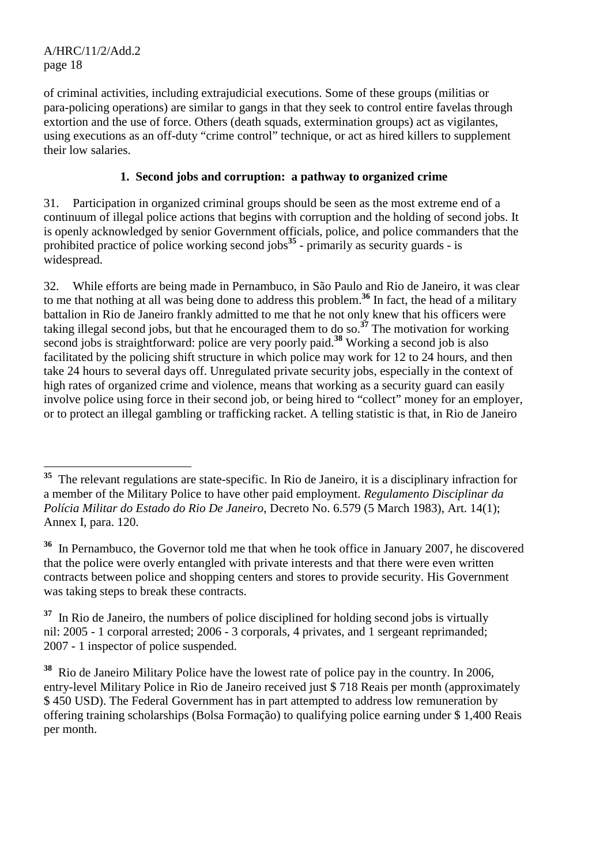of criminal activities, including extrajudicial executions. Some of these groups (militias or para-policing operations) are similar to gangs in that they seek to control entire favelas through extortion and the use of force. Others (death squads, extermination groups) act as vigilantes, using executions as an off-duty "crime control" technique, or act as hired killers to supplement their low salaries.

# **1. Second jobs and corruption: a pathway to organized crime**

31. Participation in organized criminal groups should be seen as the most extreme end of a continuum of illegal police actions that begins with corruption and the holding of second jobs. It is openly acknowledged by senior Government officials, police, and police commanders that the prohibited practice of police working second jobs**<sup>35</sup>** - primarily as security guards - is widespread.

32. While efforts are being made in Pernambuco, in São Paulo and Rio de Janeiro, it was clear to me that nothing at all was being done to address this problem.**<sup>36</sup>** In fact, the head of a military battalion in Rio de Janeiro frankly admitted to me that he not only knew that his officers were taking illegal second jobs, but that he encouraged them to do so.**<sup>37</sup>** The motivation for working second jobs is straightforward: police are very poorly paid.**<sup>38</sup>** Working a second job is also facilitated by the policing shift structure in which police may work for 12 to 24 hours, and then take 24 hours to several days off. Unregulated private security jobs, especially in the context of high rates of organized crime and violence, means that working as a security guard can easily involve police using force in their second job, or being hired to "collect" money for an employer, or to protect an illegal gambling or trafficking racket. A telling statistic is that, in Rio de Janeiro

 $\overline{a}$ **<sup>35</sup>** The relevant regulations are state-specific. In Rio de Janeiro, it is a disciplinary infraction for a member of the Military Police to have other paid employment. *Regulamento Disciplinar da Polícia Militar do Estado do Rio De Janeiro*, Decreto No. 6.579 (5 March 1983), Art. 14(1); Annex I, para. 120.

**<sup>36</sup>** In Pernambuco, the Governor told me that when he took office in January 2007, he discovered that the police were overly entangled with private interests and that there were even written contracts between police and shopping centers and stores to provide security. His Government was taking steps to break these contracts.

<sup>&</sup>lt;sup>37</sup> In Rio de Janeiro, the numbers of police disciplined for holding second jobs is virtually nil: 2005 - 1 corporal arrested; 2006 - 3 corporals, 4 privates, and 1 sergeant reprimanded; 2007 - 1 inspector of police suspended.

**<sup>38</sup>** Rio de Janeiro Military Police have the lowest rate of police pay in the country. In 2006, entry-level Military Police in Rio de Janeiro received just \$ 718 Reais per month (approximately \$ 450 USD). The Federal Government has in part attempted to address low remuneration by offering training scholarships (Bolsa Formação) to qualifying police earning under \$ 1,400 Reais per month.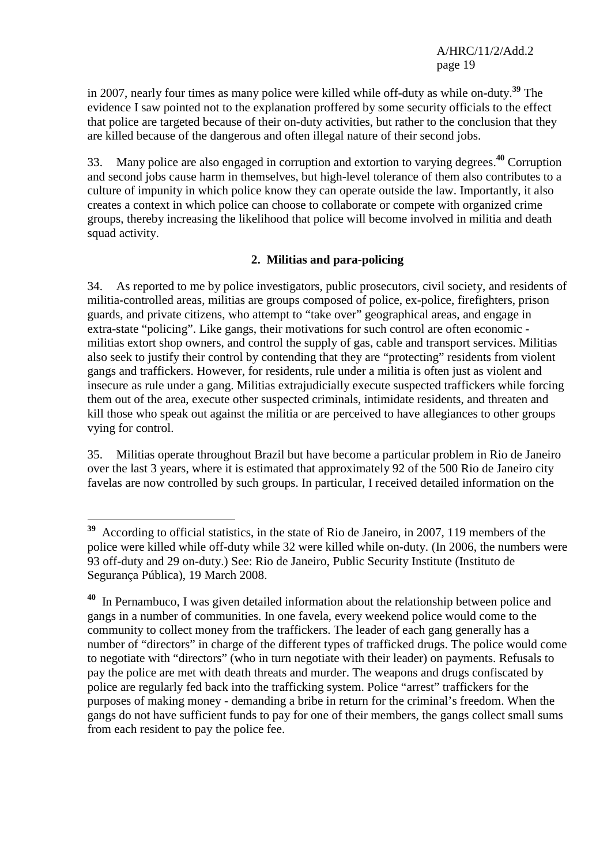in 2007, nearly four times as many police were killed while off-duty as while on-duty.**<sup>39</sup>** The evidence I saw pointed not to the explanation proffered by some security officials to the effect that police are targeted because of their on-duty activities, but rather to the conclusion that they are killed because of the dangerous and often illegal nature of their second jobs.

33. Many police are also engaged in corruption and extortion to varying degrees.**<sup>40</sup>** Corruption and second jobs cause harm in themselves, but high-level tolerance of them also contributes to a culture of impunity in which police know they can operate outside the law. Importantly, it also creates a context in which police can choose to collaborate or compete with organized crime groups, thereby increasing the likelihood that police will become involved in militia and death squad activity.

#### **2. Militias and para-policing**

34. As reported to me by police investigators, public prosecutors, civil society, and residents of militia-controlled areas, militias are groups composed of police, ex-police, firefighters, prison guards, and private citizens, who attempt to "take over" geographical areas, and engage in extra-state "policing". Like gangs, their motivations for such control are often economic militias extort shop owners, and control the supply of gas, cable and transport services. Militias also seek to justify their control by contending that they are "protecting" residents from violent gangs and traffickers. However, for residents, rule under a militia is often just as violent and insecure as rule under a gang. Militias extrajudicially execute suspected traffickers while forcing them out of the area, execute other suspected criminals, intimidate residents, and threaten and kill those who speak out against the militia or are perceived to have allegiances to other groups vying for control.

35. Militias operate throughout Brazil but have become a particular problem in Rio de Janeiro over the last 3 years, where it is estimated that approximately 92 of the 500 Rio de Janeiro city favelas are now controlled by such groups. In particular, I received detailed information on the

 $\overline{a}$ **<sup>39</sup>** According to official statistics, in the state of Rio de Janeiro, in 2007, 119 members of the police were killed while off-duty while 32 were killed while on-duty. (In 2006, the numbers were 93 off-duty and 29 on-duty.) See: Rio de Janeiro, Public Security Institute (Instituto de Segurança Pública), 19 March 2008.

**<sup>40</sup>** In Pernambuco, I was given detailed information about the relationship between police and gangs in a number of communities. In one favela, every weekend police would come to the community to collect money from the traffickers. The leader of each gang generally has a number of "directors" in charge of the different types of trafficked drugs. The police would come to negotiate with "directors" (who in turn negotiate with their leader) on payments. Refusals to pay the police are met with death threats and murder. The weapons and drugs confiscated by police are regularly fed back into the trafficking system. Police "arrest" traffickers for the purposes of making money - demanding a bribe in return for the criminal's freedom. When the gangs do not have sufficient funds to pay for one of their members, the gangs collect small sums from each resident to pay the police fee.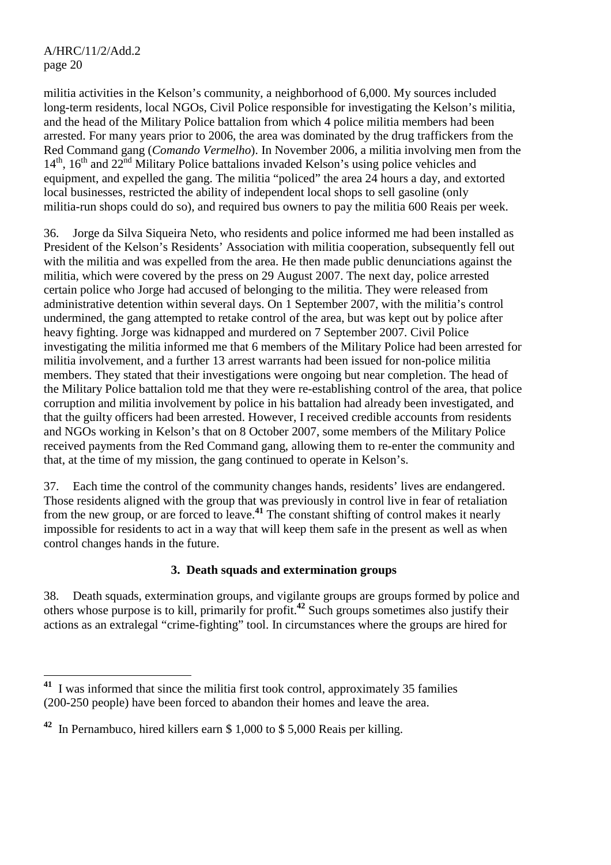militia activities in the Kelson's community, a neighborhood of 6,000. My sources included long-term residents, local NGOs, Civil Police responsible for investigating the Kelson's militia, and the head of the Military Police battalion from which 4 police militia members had been arrested. For many years prior to 2006, the area was dominated by the drug traffickers from the Red Command gang (*Comando Vermelho*). In November 2006, a militia involving men from the  $14<sup>th</sup>$ ,  $16<sup>th</sup>$  and  $22<sup>nd</sup>$  Military Police battalions invaded Kelson's using police vehicles and equipment, and expelled the gang. The militia "policed" the area 24 hours a day, and extorted local businesses, restricted the ability of independent local shops to sell gasoline (only militia-run shops could do so), and required bus owners to pay the militia 600 Reais per week.

36. Jorge da Silva Siqueira Neto, who residents and police informed me had been installed as President of the Kelson's Residents' Association with militia cooperation, subsequently fell out with the militia and was expelled from the area. He then made public denunciations against the militia, which were covered by the press on 29 August 2007. The next day, police arrested certain police who Jorge had accused of belonging to the militia. They were released from administrative detention within several days. On 1 September 2007, with the militia's control undermined, the gang attempted to retake control of the area, but was kept out by police after heavy fighting. Jorge was kidnapped and murdered on 7 September 2007. Civil Police investigating the militia informed me that 6 members of the Military Police had been arrested for militia involvement, and a further 13 arrest warrants had been issued for non-police militia members. They stated that their investigations were ongoing but near completion. The head of the Military Police battalion told me that they were re-establishing control of the area, that police corruption and militia involvement by police in his battalion had already been investigated, and that the guilty officers had been arrested. However, I received credible accounts from residents and NGOs working in Kelson's that on 8 October 2007, some members of the Military Police received payments from the Red Command gang, allowing them to re-enter the community and that, at the time of my mission, the gang continued to operate in Kelson's.

37. Each time the control of the community changes hands, residents' lives are endangered. Those residents aligned with the group that was previously in control live in fear of retaliation from the new group, or are forced to leave.**<sup>41</sup>** The constant shifting of control makes it nearly impossible for residents to act in a way that will keep them safe in the present as well as when control changes hands in the future.

#### **3. Death squads and extermination groups**

38. Death squads, extermination groups, and vigilante groups are groups formed by police and others whose purpose is to kill, primarily for profit.**<sup>42</sup>** Such groups sometimes also justify their actions as an extralegal "crime-fighting" tool. In circumstances where the groups are hired for

 $\overline{a}$ **<sup>41</sup>** I was informed that since the militia first took control, approximately 35 families (200-250 people) have been forced to abandon their homes and leave the area.

**<sup>42</sup>** In Pernambuco, hired killers earn \$ 1,000 to \$ 5,000 Reais per killing.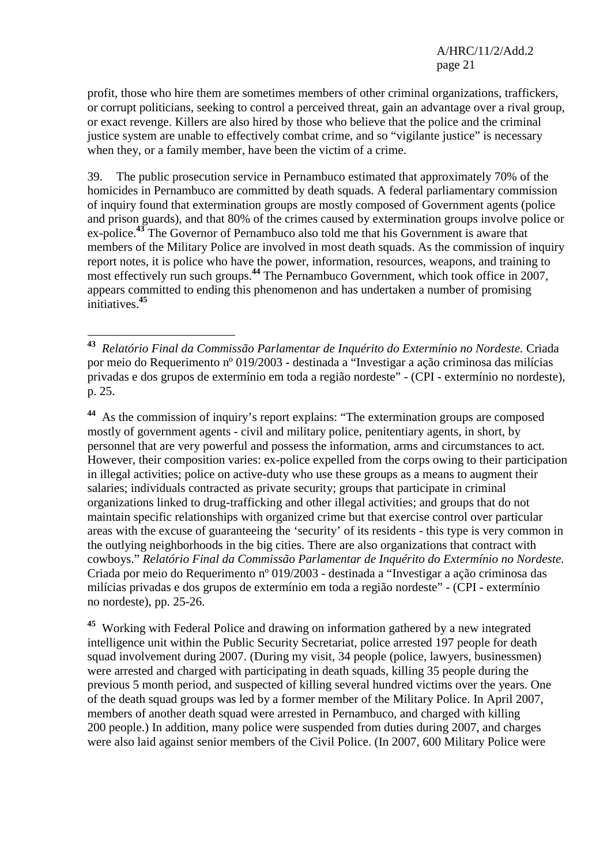profit, those who hire them are sometimes members of other criminal organizations, traffickers, or corrupt politicians, seeking to control a perceived threat, gain an advantage over a rival group, or exact revenge. Killers are also hired by those who believe that the police and the criminal justice system are unable to effectively combat crime, and so "vigilante justice" is necessary when they, or a family member, have been the victim of a crime.

39. The public prosecution service in Pernambuco estimated that approximately 70% of the homicides in Pernambuco are committed by death squads. A federal parliamentary commission of inquiry found that extermination groups are mostly composed of Government agents (police and prison guards), and that 80% of the crimes caused by extermination groups involve police or ex-police.**<sup>43</sup>** The Governor of Pernambuco also told me that his Government is aware that members of the Military Police are involved in most death squads. As the commission of inquiry report notes, it is police who have the power, information, resources, weapons, and training to most effectively run such groups.**<sup>44</sup>** The Pernambuco Government, which took office in 2007, appears committed to ending this phenomenon and has undertaken a number of promising initiatives.**<sup>45</sup>**

**<sup>44</sup>** As the commission of inquiry's report explains: "The extermination groups are composed mostly of government agents - civil and military police, penitentiary agents, in short, by personnel that are very powerful and possess the information, arms and circumstances to act. However, their composition varies: ex-police expelled from the corps owing to their participation in illegal activities; police on active-duty who use these groups as a means to augment their salaries; individuals contracted as private security; groups that participate in criminal organizations linked to drug-trafficking and other illegal activities; and groups that do not maintain specific relationships with organized crime but that exercise control over particular areas with the excuse of guaranteeing the 'security' of its residents - this type is very common in the outlying neighborhoods in the big cities. There are also organizations that contract with cowboys." *Relatório Final da Commissão Parlamentar de Inquérito do Extermínio no Nordeste.*  Criada por meio do Requerimento nº 019/2003 - destinada a "Investigar a ação criminosa das milícias privadas e dos grupos de extermínio em toda a região nordeste" - (CPI - extermínio no nordeste), pp. 25-26.

**<sup>45</sup>** Working with Federal Police and drawing on information gathered by a new integrated intelligence unit within the Public Security Secretariat, police arrested 197 people for death squad involvement during 2007. (During my visit, 34 people (police, lawyers, businessmen) were arrested and charged with participating in death squads, killing 35 people during the previous 5 month period, and suspected of killing several hundred victims over the years. One of the death squad groups was led by a former member of the Military Police. In April 2007, members of another death squad were arrested in Pernambuco, and charged with killing 200 people.) In addition, many police were suspended from duties during 2007, and charges were also laid against senior members of the Civil Police. (In 2007, 600 Military Police were

<sup>43</sup> **<sup>43</sup>** *Relatório Final da Commissão Parlamentar de Inquérito do Extermínio no Nordeste.* Criada por meio do Requerimento nº 019/2003 - destinada a "Investigar a ação criminosa das milícias privadas e dos grupos de extermínio em toda a região nordeste" - (CPI - extermínio no nordeste), p. 25.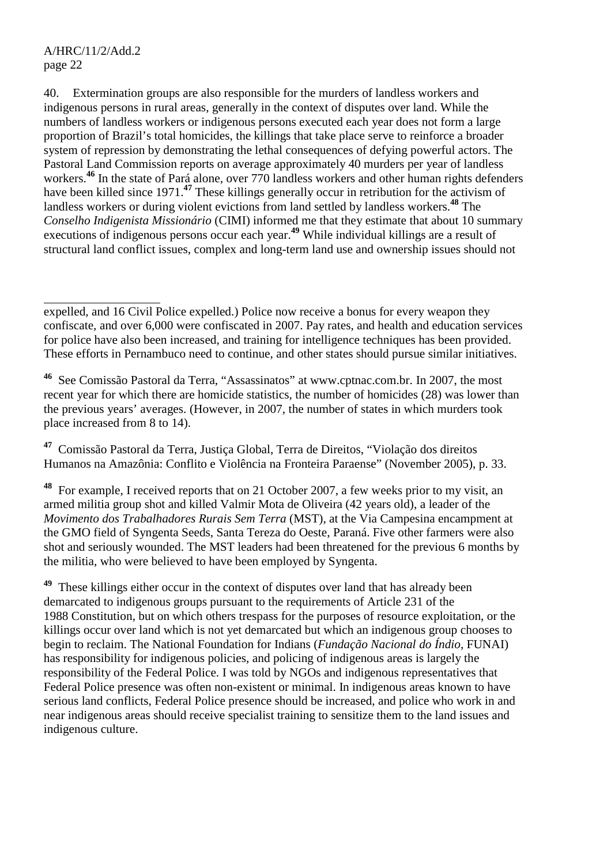$\overline{a}$ 

40. Extermination groups are also responsible for the murders of landless workers and indigenous persons in rural areas, generally in the context of disputes over land. While the numbers of landless workers or indigenous persons executed each year does not form a large proportion of Brazil's total homicides, the killings that take place serve to reinforce a broader system of repression by demonstrating the lethal consequences of defying powerful actors. The Pastoral Land Commission reports on average approximately 40 murders per year of landless workers.<sup>46</sup> In the state of Pará alone, over 770 landless workers and other human rights defenders have been killed since 1971.<sup>47</sup> These killings generally occur in retribution for the activism of landless workers or during violent evictions from land settled by landless workers.**<sup>48</sup>** The *Conselho Indigenista Missionário* (CIMI) informed me that they estimate that about 10 summary executions of indigenous persons occur each year.**<sup>49</sup>** While individual killings are a result of structural land conflict issues, complex and long-term land use and ownership issues should not

**<sup>47</sup>** Comissão Pastoral da Terra, Justiça Global, Terra de Direitos, "Violação dos direitos Humanos na Amazônia: Conflito e Violência na Fronteira Paraense" (November 2005), p. 33.

**<sup>48</sup>** For example, I received reports that on 21 October 2007, a few weeks prior to my visit, an armed militia group shot and killed Valmir Mota de Oliveira (42 years old), a leader of the *Movimento dos Trabalhadores Rurais Sem Terra* (MST), at the Via Campesina encampment at the GMO field of Syngenta Seeds, Santa Tereza do Oeste, Paraná. Five other farmers were also shot and seriously wounded. The MST leaders had been threatened for the previous 6 months by the militia, who were believed to have been employed by Syngenta.

**<sup>49</sup>** These killings either occur in the context of disputes over land that has already been demarcated to indigenous groups pursuant to the requirements of Article 231 of the 1988 Constitution, but on which others trespass for the purposes of resource exploitation, or the killings occur over land which is not yet demarcated but which an indigenous group chooses to begin to reclaim. The National Foundation for Indians (*Fundação Nacional do Índio*, FUNAI) has responsibility for indigenous policies, and policing of indigenous areas is largely the responsibility of the Federal Police. I was told by NGOs and indigenous representatives that Federal Police presence was often non-existent or minimal. In indigenous areas known to have serious land conflicts, Federal Police presence should be increased, and police who work in and near indigenous areas should receive specialist training to sensitize them to the land issues and indigenous culture.

expelled, and 16 Civil Police expelled.) Police now receive a bonus for every weapon they confiscate, and over 6,000 were confiscated in 2007. Pay rates, and health and education services for police have also been increased, and training for intelligence techniques has been provided. These efforts in Pernambuco need to continue, and other states should pursue similar initiatives.

**<sup>46</sup>** See Comissão Pastoral da Terra, "Assassinatos" at www.cptnac.com.br. In 2007, the most recent year for which there are homicide statistics, the number of homicides (28) was lower than the previous years' averages. (However, in 2007, the number of states in which murders took place increased from 8 to 14).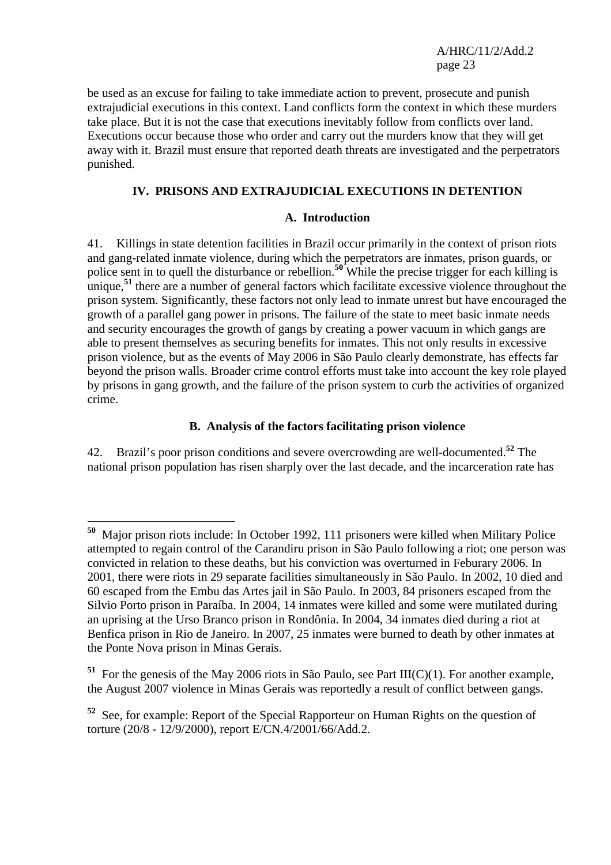be used as an excuse for failing to take immediate action to prevent, prosecute and punish extrajudicial executions in this context. Land conflicts form the context in which these murders take place. But it is not the case that executions inevitably follow from conflicts over land. Executions occur because those who order and carry out the murders know that they will get away with it. Brazil must ensure that reported death threats are investigated and the perpetrators punished.

## **IV. PRISONS AND EXTRAJUDICIAL EXECUTIONS IN DETENTION**

#### **A. Introduction**

41. Killings in state detention facilities in Brazil occur primarily in the context of prison riots and gang-related inmate violence, during which the perpetrators are inmates, prison guards, or police sent in to quell the disturbance or rebellion.<sup>50</sup> While the precise trigger for each killing is unique,<sup>51</sup> there are a number of general factors which facilitate excessive violence throughout the prison system. Significantly, these factors not only lead to inmate unrest but have encouraged the growth of a parallel gang power in prisons. The failure of the state to meet basic inmate needs and security encourages the growth of gangs by creating a power vacuum in which gangs are able to present themselves as securing benefits for inmates. This not only results in excessive prison violence, but as the events of May 2006 in São Paulo clearly demonstrate, has effects far beyond the prison walls. Broader crime control efforts must take into account the key role played by prisons in gang growth, and the failure of the prison system to curb the activities of organized crime.

#### **B. Analysis of the factors facilitating prison violence**

42. Brazil's poor prison conditions and severe overcrowding are well-documented.**<sup>52</sup>** The national prison population has risen sharply over the last decade, and the incarceration rate has

 $\overline{a}$ 

**<sup>50</sup>** Major prison riots include: In October 1992, 111 prisoners were killed when Military Police attempted to regain control of the Carandiru prison in São Paulo following a riot; one person was convicted in relation to these deaths, but his conviction was overturned in Feburary 2006. In 2001, there were riots in 29 separate facilities simultaneously in São Paulo. In 2002, 10 died and 60 escaped from the Embu das Artes jail in São Paulo. In 2003, 84 prisoners escaped from the Silvio Porto prison in Paraíba. In 2004, 14 inmates were killed and some were mutilated during an uprising at the Urso Branco prison in Rondônia. In 2004, 34 inmates died during a riot at Benfica prison in Rio de Janeiro. In 2007, 25 inmates were burned to death by other inmates at the Ponte Nova prison in Minas Gerais.

**<sup>51</sup>** For the genesis of the May 2006 riots in São Paulo, see Part III(C)(1). For another example, the August 2007 violence in Minas Gerais was reportedly a result of conflict between gangs.

**<sup>52</sup>** See, for example: Report of the Special Rapporteur on Human Rights on the question of torture (20/8 - 12/9/2000), report E/CN.4/2001/66/Add.2.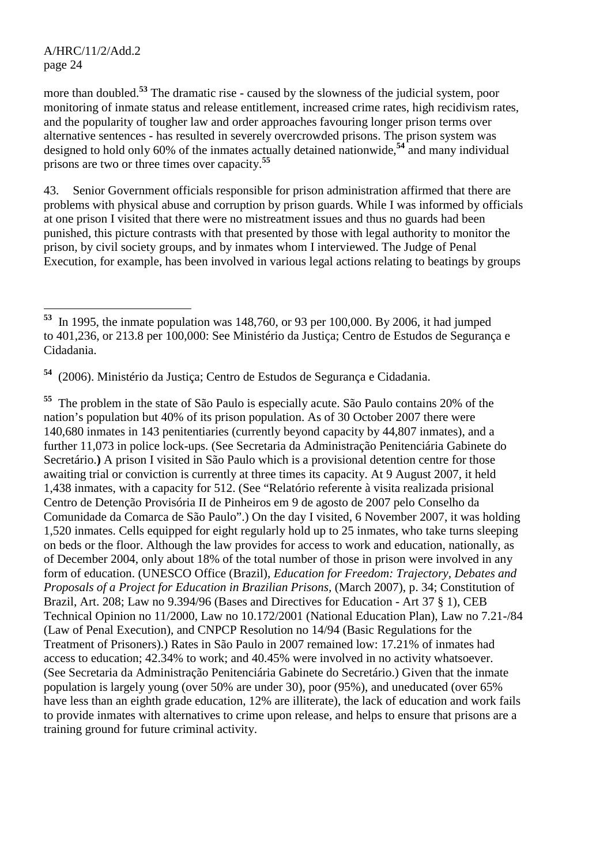$\overline{a}$ 

more than doubled.<sup>53</sup> The dramatic rise - caused by the slowness of the judicial system, poor monitoring of inmate status and release entitlement, increased crime rates, high recidivism rates, and the popularity of tougher law and order approaches favouring longer prison terms over alternative sentences - has resulted in severely overcrowded prisons. The prison system was designed to hold only 60% of the inmates actually detained nationwide,**<sup>54</sup>** and many individual prisons are two or three times over capacity.**<sup>55</sup>**

43. Senior Government officials responsible for prison administration affirmed that there are problems with physical abuse and corruption by prison guards. While I was informed by officials at one prison I visited that there were no mistreatment issues and thus no guards had been punished, this picture contrasts with that presented by those with legal authority to monitor the prison, by civil society groups, and by inmates whom I interviewed. The Judge of Penal Execution, for example, has been involved in various legal actions relating to beatings by groups

**<sup>54</sup>** (2006). Ministério da Justiça; Centro de Estudos de Segurança e Cidadania.

**<sup>55</sup>** The problem in the state of São Paulo is especially acute. São Paulo contains 20% of the nation's population but 40% of its prison population. As of 30 October 2007 there were 140,680 inmates in 143 penitentiaries (currently beyond capacity by 44,807 inmates), and a further 11,073 in police lock-ups. (See Secretaria da Administração Penitenciária Gabinete do Secretário.**)** A prison I visited in São Paulo which is a provisional detention centre for those awaiting trial or conviction is currently at three times its capacity. At 9 August 2007, it held 1,438 inmates, with a capacity for 512. (See "Relatório referente à visita realizada prisional Centro de Detenção Provisória II de Pinheiros em 9 de agosto de 2007 pelo Conselho da Comunidade da Comarca de São Paulo".) On the day I visited, 6 November 2007, it was holding 1,520 inmates. Cells equipped for eight regularly hold up to 25 inmates, who take turns sleeping on beds or the floor. Although the law provides for access to work and education, nationally, as of December 2004, only about 18% of the total number of those in prison were involved in any form of education. (UNESCO Office (Brazil), *Education for Freedom: Trajectory, Debates and Proposals of a Project for Education in Brazilian Prisons,* (March 2007), p. 34; Constitution of Brazil, Art. 208; Law no 9.394/96 (Bases and Directives for Education - Art 37 § 1), CEB Technical Opinion no 11/2000, Law no 10.172/2001 (National Education Plan), Law no 7.21-/84 (Law of Penal Execution), and CNPCP Resolution no 14/94 (Basic Regulations for the Treatment of Prisoners).) Rates in São Paulo in 2007 remained low: 17.21% of inmates had access to education; 42.34% to work; and 40.45% were involved in no activity whatsoever. (See Secretaria da Administração Penitenciária Gabinete do Secretário.) Given that the inmate population is largely young (over 50% are under 30), poor (95%), and uneducated (over 65% have less than an eighth grade education, 12% are illiterate), the lack of education and work fails to provide inmates with alternatives to crime upon release, and helps to ensure that prisons are a training ground for future criminal activity.

**<sup>53</sup>** In 1995, the inmate population was 148,760, or 93 per 100,000. By 2006, it had jumped to 401,236, or 213.8 per 100,000: See Ministério da Justiça; Centro de Estudos de Segurança e Cidadania.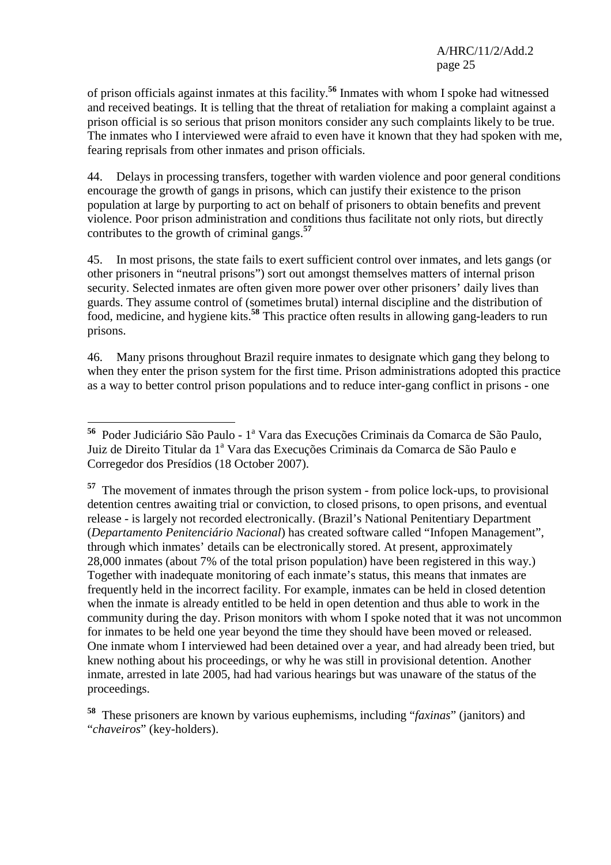of prison officials against inmates at this facility.**<sup>56</sup>** Inmates with whom I spoke had witnessed and received beatings. It is telling that the threat of retaliation for making a complaint against a prison official is so serious that prison monitors consider any such complaints likely to be true. The inmates who I interviewed were afraid to even have it known that they had spoken with me, fearing reprisals from other inmates and prison officials.

44. Delays in processing transfers, together with warden violence and poor general conditions encourage the growth of gangs in prisons, which can justify their existence to the prison population at large by purporting to act on behalf of prisoners to obtain benefits and prevent violence. Poor prison administration and conditions thus facilitate not only riots, but directly contributes to the growth of criminal gangs.**<sup>57</sup>**

45. In most prisons, the state fails to exert sufficient control over inmates, and lets gangs (or other prisoners in "neutral prisons") sort out amongst themselves matters of internal prison security. Selected inmates are often given more power over other prisoners' daily lives than guards. They assume control of (sometimes brutal) internal discipline and the distribution of food, medicine, and hygiene kits.**<sup>58</sup>** This practice often results in allowing gang-leaders to run prisons.

46. Many prisons throughout Brazil require inmates to designate which gang they belong to when they enter the prison system for the first time. Prison administrations adopted this practice as a way to better control prison populations and to reduce inter-gang conflict in prisons - one

 $\overline{a}$ <sup>56</sup> Poder Judiciário São Paulo - 1<sup>a</sup> Vara das Execuções Criminais da Comarca de São Paulo, Juiz de Direito Titular da 1ª Vara das Execuções Criminais da Comarca de São Paulo e Corregedor dos Presídios (18 October 2007).

**<sup>57</sup>** The movement of inmates through the prison system - from police lock-ups, to provisional detention centres awaiting trial or conviction, to closed prisons, to open prisons, and eventual release - is largely not recorded electronically. (Brazil's National Penitentiary Department (*Departamento Penitenciário Nacional*) has created software called "Infopen Management", through which inmates' details can be electronically stored. At present, approximately 28,000 inmates (about 7% of the total prison population) have been registered in this way.) Together with inadequate monitoring of each inmate's status, this means that inmates are frequently held in the incorrect facility. For example, inmates can be held in closed detention when the inmate is already entitled to be held in open detention and thus able to work in the community during the day. Prison monitors with whom I spoke noted that it was not uncommon for inmates to be held one year beyond the time they should have been moved or released. One inmate whom I interviewed had been detained over a year, and had already been tried, but knew nothing about his proceedings, or why he was still in provisional detention. Another inmate, arrested in late 2005, had had various hearings but was unaware of the status of the proceedings.

**<sup>58</sup>** These prisoners are known by various euphemisms, including "*faxinas*" (janitors) and "*chaveiros*" (key-holders).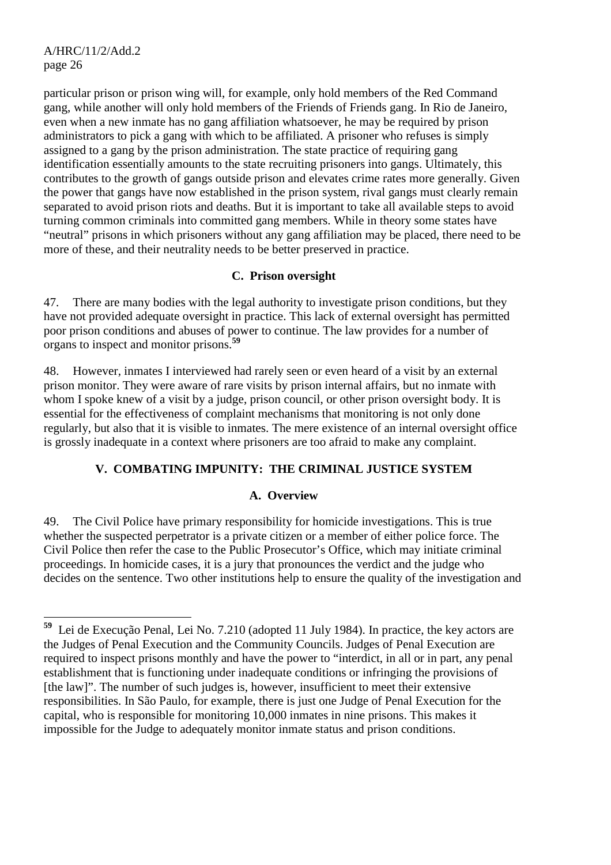particular prison or prison wing will, for example, only hold members of the Red Command gang, while another will only hold members of the Friends of Friends gang. In Rio de Janeiro, even when a new inmate has no gang affiliation whatsoever, he may be required by prison administrators to pick a gang with which to be affiliated. A prisoner who refuses is simply assigned to a gang by the prison administration. The state practice of requiring gang identification essentially amounts to the state recruiting prisoners into gangs. Ultimately, this contributes to the growth of gangs outside prison and elevates crime rates more generally. Given the power that gangs have now established in the prison system, rival gangs must clearly remain separated to avoid prison riots and deaths. But it is important to take all available steps to avoid turning common criminals into committed gang members. While in theory some states have "neutral" prisons in which prisoners without any gang affiliation may be placed, there need to be more of these, and their neutrality needs to be better preserved in practice.

#### **C. Prison oversight**

47. There are many bodies with the legal authority to investigate prison conditions, but they have not provided adequate oversight in practice. This lack of external oversight has permitted poor prison conditions and abuses of power to continue. The law provides for a number of organs to inspect and monitor prisons.**<sup>59</sup>**

48. However, inmates I interviewed had rarely seen or even heard of a visit by an external prison monitor. They were aware of rare visits by prison internal affairs, but no inmate with whom I spoke knew of a visit by a judge, prison council, or other prison oversight body. It is essential for the effectiveness of complaint mechanisms that monitoring is not only done regularly, but also that it is visible to inmates. The mere existence of an internal oversight office is grossly inadequate in a context where prisoners are too afraid to make any complaint.

# **V. COMBATING IMPUNITY: THE CRIMINAL JUSTICE SYSTEM**

#### **A. Overview**

49. The Civil Police have primary responsibility for homicide investigations. This is true whether the suspected perpetrator is a private citizen or a member of either police force. The Civil Police then refer the case to the Public Prosecutor's Office, which may initiate criminal proceedings. In homicide cases, it is a jury that pronounces the verdict and the judge who decides on the sentence. Two other institutions help to ensure the quality of the investigation and

<sup>59</sup> **<sup>59</sup>** Lei de Execução Penal, Lei No. 7.210 (adopted 11 July 1984). In practice, the key actors are the Judges of Penal Execution and the Community Councils. Judges of Penal Execution are required to inspect prisons monthly and have the power to "interdict, in all or in part, any penal establishment that is functioning under inadequate conditions or infringing the provisions of [the law]". The number of such judges is, however, insufficient to meet their extensive responsibilities. In São Paulo, for example, there is just one Judge of Penal Execution for the capital, who is responsible for monitoring 10,000 inmates in nine prisons. This makes it impossible for the Judge to adequately monitor inmate status and prison conditions.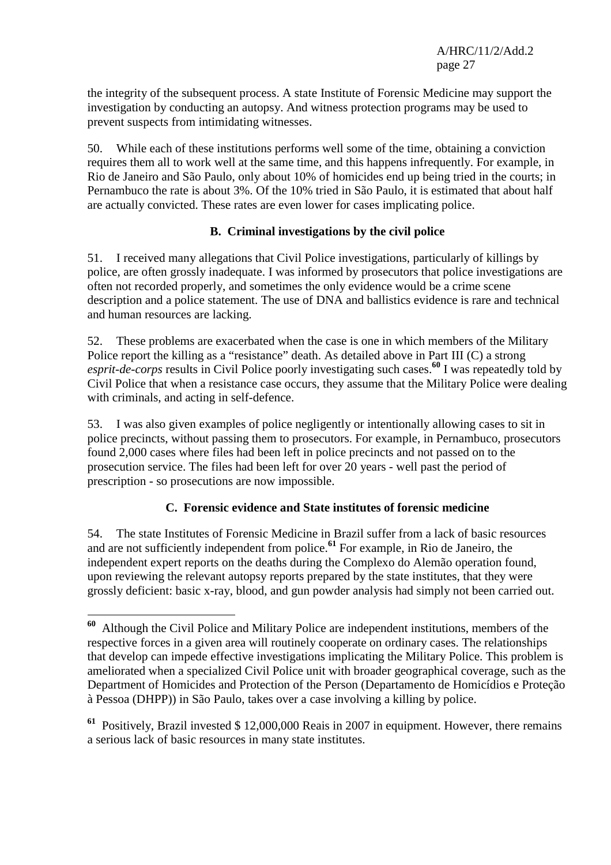the integrity of the subsequent process. A state Institute of Forensic Medicine may support the investigation by conducting an autopsy. And witness protection programs may be used to prevent suspects from intimidating witnesses.

50. While each of these institutions performs well some of the time, obtaining a conviction requires them all to work well at the same time, and this happens infrequently. For example, in Rio de Janeiro and São Paulo, only about 10% of homicides end up being tried in the courts; in Pernambuco the rate is about 3%. Of the 10% tried in São Paulo, it is estimated that about half are actually convicted. These rates are even lower for cases implicating police.

#### **B. Criminal investigations by the civil police**

51. I received many allegations that Civil Police investigations, particularly of killings by police, are often grossly inadequate. I was informed by prosecutors that police investigations are often not recorded properly, and sometimes the only evidence would be a crime scene description and a police statement. The use of DNA and ballistics evidence is rare and technical and human resources are lacking.

52. These problems are exacerbated when the case is one in which members of the Military Police report the killing as a "resistance" death. As detailed above in Part III (C) a strong *esprit-de-corps* results in Civil Police poorly investigating such cases.**<sup>60</sup>** I was repeatedly told by Civil Police that when a resistance case occurs, they assume that the Military Police were dealing with criminals, and acting in self-defence.

53. I was also given examples of police negligently or intentionally allowing cases to sit in police precincts, without passing them to prosecutors. For example, in Pernambuco, prosecutors found 2,000 cases where files had been left in police precincts and not passed on to the prosecution service. The files had been left for over 20 years - well past the period of prescription - so prosecutions are now impossible.

#### **C. Forensic evidence and State institutes of forensic medicine**

54. The state Institutes of Forensic Medicine in Brazil suffer from a lack of basic resources and are not sufficiently independent from police.**<sup>61</sup>** For example, in Rio de Janeiro, the independent expert reports on the deaths during the Complexo do Alemão operation found, upon reviewing the relevant autopsy reports prepared by the state institutes, that they were grossly deficient: basic x-ray, blood, and gun powder analysis had simply not been carried out.

**<sup>61</sup>** Positively, Brazil invested \$ 12,000,000 Reais in 2007 in equipment. However, there remains a serious lack of basic resources in many state institutes.

 $\overline{a}$ **<sup>60</sup>** Although the Civil Police and Military Police are independent institutions, members of the respective forces in a given area will routinely cooperate on ordinary cases. The relationships that develop can impede effective investigations implicating the Military Police. This problem is ameliorated when a specialized Civil Police unit with broader geographical coverage, such as the Department of Homicides and Protection of the Person (Departamento de Homicídios e Proteção à Pessoa (DHPP)) in São Paulo, takes over a case involving a killing by police.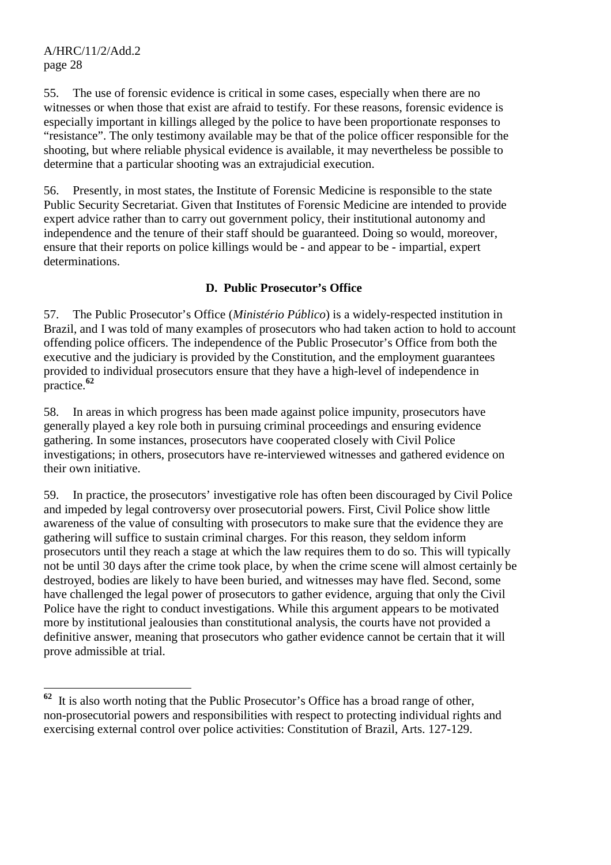55. The use of forensic evidence is critical in some cases, especially when there are no witnesses or when those that exist are afraid to testify. For these reasons, forensic evidence is especially important in killings alleged by the police to have been proportionate responses to "resistance". The only testimony available may be that of the police officer responsible for the shooting, but where reliable physical evidence is available, it may nevertheless be possible to determine that a particular shooting was an extrajudicial execution.

56. Presently, in most states, the Institute of Forensic Medicine is responsible to the state Public Security Secretariat. Given that Institutes of Forensic Medicine are intended to provide expert advice rather than to carry out government policy, their institutional autonomy and independence and the tenure of their staff should be guaranteed. Doing so would, moreover, ensure that their reports on police killings would be - and appear to be - impartial, expert determinations.

#### **D. Public Prosecutor's Office**

57. The Public Prosecutor's Office (*Ministério Público*) is a widely-respected institution in Brazil, and I was told of many examples of prosecutors who had taken action to hold to account offending police officers. The independence of the Public Prosecutor's Office from both the executive and the judiciary is provided by the Constitution, and the employment guarantees provided to individual prosecutors ensure that they have a high-level of independence in practice.**<sup>62</sup>**

58. In areas in which progress has been made against police impunity, prosecutors have generally played a key role both in pursuing criminal proceedings and ensuring evidence gathering. In some instances, prosecutors have cooperated closely with Civil Police investigations; in others, prosecutors have re-interviewed witnesses and gathered evidence on their own initiative.

59. In practice, the prosecutors' investigative role has often been discouraged by Civil Police and impeded by legal controversy over prosecutorial powers. First, Civil Police show little awareness of the value of consulting with prosecutors to make sure that the evidence they are gathering will suffice to sustain criminal charges. For this reason, they seldom inform prosecutors until they reach a stage at which the law requires them to do so. This will typically not be until 30 days after the crime took place, by when the crime scene will almost certainly be destroyed, bodies are likely to have been buried, and witnesses may have fled. Second, some have challenged the legal power of prosecutors to gather evidence, arguing that only the Civil Police have the right to conduct investigations. While this argument appears to be motivated more by institutional jealousies than constitutional analysis, the courts have not provided a definitive answer, meaning that prosecutors who gather evidence cannot be certain that it will prove admissible at trial.

<sup>62</sup> **<sup>62</sup>** It is also worth noting that the Public Prosecutor's Office has a broad range of other, non-prosecutorial powers and responsibilities with respect to protecting individual rights and exercising external control over police activities: Constitution of Brazil, Arts. 127-129.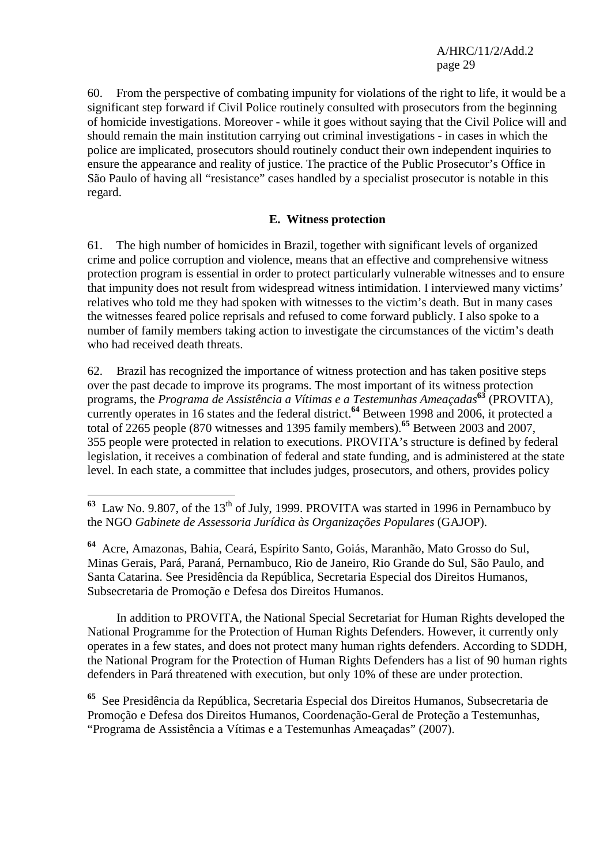60. From the perspective of combating impunity for violations of the right to life, it would be a significant step forward if Civil Police routinely consulted with prosecutors from the beginning of homicide investigations. Moreover - while it goes without saying that the Civil Police will and should remain the main institution carrying out criminal investigations - in cases in which the police are implicated, prosecutors should routinely conduct their own independent inquiries to ensure the appearance and reality of justice. The practice of the Public Prosecutor's Office in São Paulo of having all "resistance" cases handled by a specialist prosecutor is notable in this regard.

#### **E. Witness protection**

61. The high number of homicides in Brazil, together with significant levels of organized crime and police corruption and violence, means that an effective and comprehensive witness protection program is essential in order to protect particularly vulnerable witnesses and to ensure that impunity does not result from widespread witness intimidation. I interviewed many victims' relatives who told me they had spoken with witnesses to the victim's death. But in many cases the witnesses feared police reprisals and refused to come forward publicly. I also spoke to a number of family members taking action to investigate the circumstances of the victim's death who had received death threats.

62. Brazil has recognized the importance of witness protection and has taken positive steps over the past decade to improve its programs. The most important of its witness protection programs, the *Programa de Assistência a Vítimas e a Testemunhas Ameaçadas***<sup>63</sup>** (PROVITA), currently operates in 16 states and the federal district.<sup>64</sup> Between 1998 and 2006, it protected a total of 2265 people (870 witnesses and 1395 family members).**<sup>65</sup>** Between 2003 and 2007, 355 people were protected in relation to executions. PROVITA's structure is defined by federal legislation, it receives a combination of federal and state funding, and is administered at the state level. In each state, a committee that includes judges, prosecutors, and others, provides policy

 $\overline{a}$ 

 In addition to PROVITA, the National Special Secretariat for Human Rights developed the National Programme for the Protection of Human Rights Defenders. However, it currently only operates in a few states, and does not protect many human rights defenders. According to SDDH, the National Program for the Protection of Human Rights Defenders has a list of 90 human rights defenders in Pará threatened with execution, but only 10% of these are under protection.

**<sup>65</sup>** See Presidência da República, Secretaria Especial dos Direitos Humanos, Subsecretaria de Promoção e Defesa dos Direitos Humanos, Coordenação-Geral de Proteção a Testemunhas, "Programa de Assistência a Vítimas e a Testemunhas Ameaçadas" (2007).

 $63$  Law No. 9.807, of the 13<sup>th</sup> of July, 1999. PROVITA was started in 1996 in Pernambuco by the NGO *Gabinete de Assessoria Jurídica às Organizações Populares* (GAJOP).

**<sup>64</sup>** Acre, Amazonas, Bahia, Ceará, Espírito Santo, Goiás, Maranhão, Mato Grosso do Sul, Minas Gerais, Pará, Paraná, Pernambuco, Rio de Janeiro, Rio Grande do Sul, São Paulo, and Santa Catarina. See Presidência da República, Secretaria Especial dos Direitos Humanos, Subsecretaria de Promoção e Defesa dos Direitos Humanos.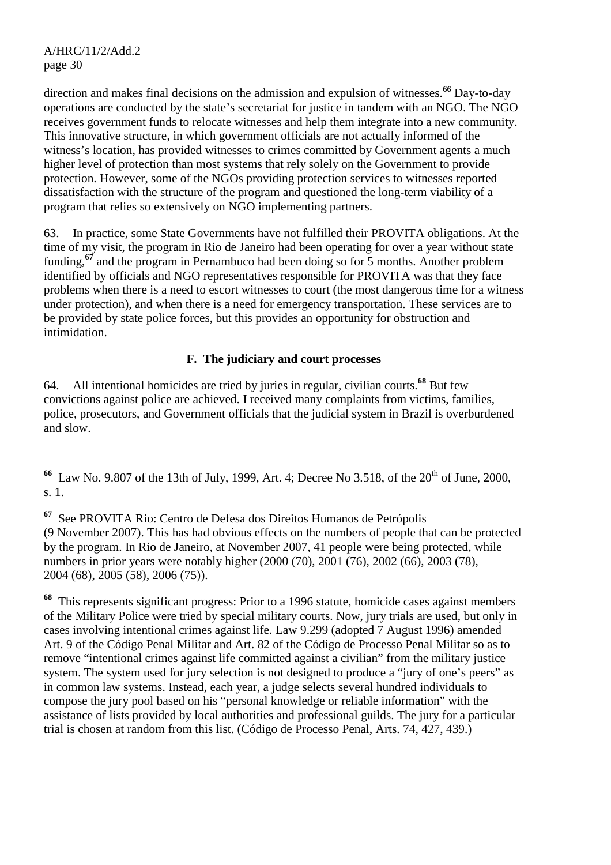direction and makes final decisions on the admission and expulsion of witnesses.**<sup>66</sup>** Day-to-day operations are conducted by the state's secretariat for justice in tandem with an NGO. The NGO receives government funds to relocate witnesses and help them integrate into a new community. This innovative structure, in which government officials are not actually informed of the witness's location, has provided witnesses to crimes committed by Government agents a much higher level of protection than most systems that rely solely on the Government to provide protection. However, some of the NGOs providing protection services to witnesses reported dissatisfaction with the structure of the program and questioned the long-term viability of a program that relies so extensively on NGO implementing partners.

63. In practice, some State Governments have not fulfilled their PROVITA obligations. At the time of my visit, the program in Rio de Janeiro had been operating for over a year without state funding,<sup>67</sup> and the program in Pernambuco had been doing so for 5 months. Another problem identified by officials and NGO representatives responsible for PROVITA was that they face problems when there is a need to escort witnesses to court (the most dangerous time for a witness under protection), and when there is a need for emergency transportation. These services are to be provided by state police forces, but this provides an opportunity for obstruction and intimidation.

## **F. The judiciary and court processes**

64. All intentional homicides are tried by juries in regular, civilian courts.**<sup>68</sup>** But few convictions against police are achieved. I received many complaints from victims, families, police, prosecutors, and Government officials that the judicial system in Brazil is overburdened and slow.

**<sup>67</sup>** See PROVITA Rio: Centro de Defesa dos Direitos Humanos de Petrópolis (9 November 2007). This has had obvious effects on the numbers of people that can be protected by the program. In Rio de Janeiro, at November 2007, 41 people were being protected, while numbers in prior years were notably higher (2000 (70), 2001 (76), 2002 (66), 2003 (78), 2004 (68), 2005 (58), 2006 (75)).

**<sup>68</sup>** This represents significant progress: Prior to a 1996 statute, homicide cases against members of the Military Police were tried by special military courts. Now, jury trials are used, but only in cases involving intentional crimes against life. Law 9.299 (adopted 7 August 1996) amended Art. 9 of the Código Penal Militar and Art. 82 of the Código de Processo Penal Militar so as to remove "intentional crimes against life committed against a civilian" from the military justice system. The system used for jury selection is not designed to produce a "jury of one's peers" as in common law systems. Instead, each year, a judge selects several hundred individuals to compose the jury pool based on his "personal knowledge or reliable information" with the assistance of lists provided by local authorities and professional guilds. The jury for a particular trial is chosen at random from this list. (Código de Processo Penal, Arts. 74, 427, 439.)

 $\overline{a}$ <sup>66</sup> Law No. 9.807 of the 13th of July, 1999, Art. 4; Decree No 3.518, of the 20<sup>th</sup> of June, 2000, s. 1.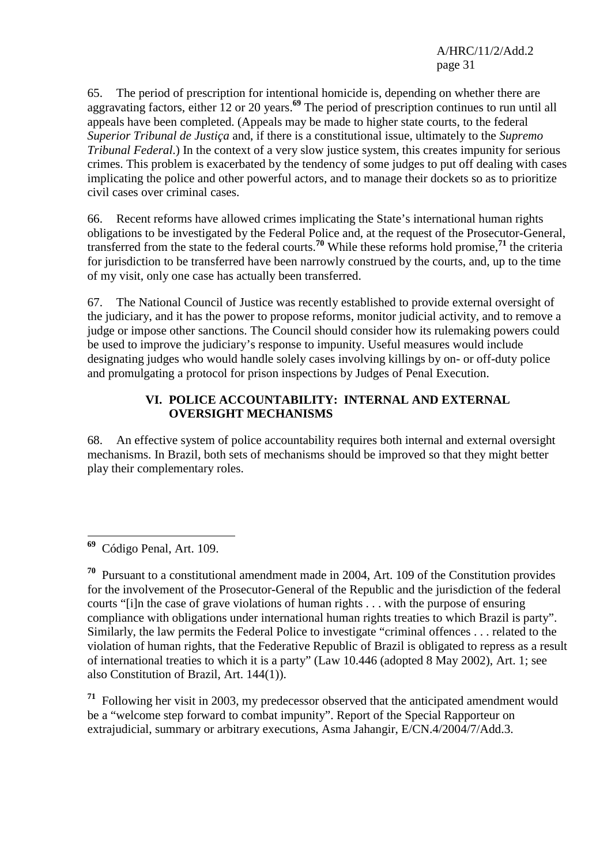65. The period of prescription for intentional homicide is, depending on whether there are aggravating factors, either 12 or 20 years.**<sup>69</sup>** The period of prescription continues to run until all appeals have been completed. (Appeals may be made to higher state courts, to the federal *Superior Tribunal de Justiça* and, if there is a constitutional issue, ultimately to the *Supremo Tribunal Federal*.) In the context of a very slow justice system, this creates impunity for serious crimes. This problem is exacerbated by the tendency of some judges to put off dealing with cases implicating the police and other powerful actors, and to manage their dockets so as to prioritize civil cases over criminal cases.

66. Recent reforms have allowed crimes implicating the State's international human rights obligations to be investigated by the Federal Police and, at the request of the Prosecutor-General, transferred from the state to the federal courts.**<sup>70</sup>** While these reforms hold promise,**<sup>71</sup>** the criteria for jurisdiction to be transferred have been narrowly construed by the courts, and, up to the time of my visit, only one case has actually been transferred.

67. The National Council of Justice was recently established to provide external oversight of the judiciary, and it has the power to propose reforms, monitor judicial activity, and to remove a judge or impose other sanctions. The Council should consider how its rulemaking powers could be used to improve the judiciary's response to impunity. Useful measures would include designating judges who would handle solely cases involving killings by on- or off-duty police and promulgating a protocol for prison inspections by Judges of Penal Execution.

## **VI. POLICE ACCOUNTABILITY: INTERNAL AND EXTERNAL OVERSIGHT MECHANISMS**

68. An effective system of police accountability requires both internal and external oversight mechanisms. In Brazil, both sets of mechanisms should be improved so that they might better play their complementary roles.

**<sup>71</sup>** Following her visit in 2003, my predecessor observed that the anticipated amendment would be a "welcome step forward to combat impunity". Report of the Special Rapporteur on extrajudicial, summary or arbitrary executions, Asma Jahangir, E/CN.4/2004/7/Add.3.

<sup>69</sup> **<sup>69</sup>** Código Penal, Art. 109.

**<sup>70</sup>** Pursuant to a constitutional amendment made in 2004, Art. 109 of the Constitution provides for the involvement of the Prosecutor-General of the Republic and the jurisdiction of the federal courts "[i]n the case of grave violations of human rights . . . with the purpose of ensuring compliance with obligations under international human rights treaties to which Brazil is party". Similarly, the law permits the Federal Police to investigate "criminal offences . . . related to the violation of human rights, that the Federative Republic of Brazil is obligated to repress as a result of international treaties to which it is a party" (Law 10.446 (adopted 8 May 2002), Art. 1; see also Constitution of Brazil, Art. 144(1)).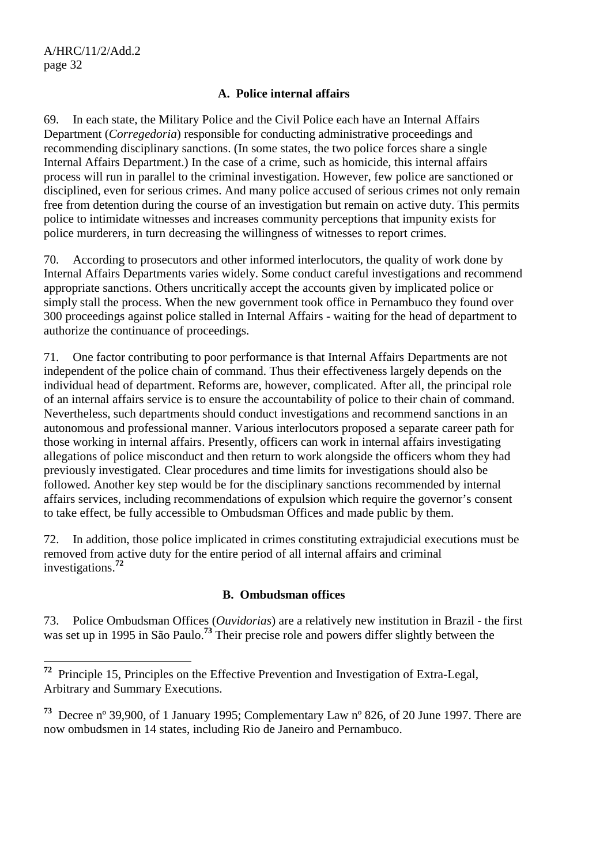$\overline{a}$ 

#### **A. Police internal affairs**

69. In each state, the Military Police and the Civil Police each have an Internal Affairs Department (*Corregedoria*) responsible for conducting administrative proceedings and recommending disciplinary sanctions. (In some states, the two police forces share a single Internal Affairs Department.) In the case of a crime, such as homicide, this internal affairs process will run in parallel to the criminal investigation. However, few police are sanctioned or disciplined, even for serious crimes. And many police accused of serious crimes not only remain free from detention during the course of an investigation but remain on active duty. This permits police to intimidate witnesses and increases community perceptions that impunity exists for police murderers, in turn decreasing the willingness of witnesses to report crimes.

70. According to prosecutors and other informed interlocutors, the quality of work done by Internal Affairs Departments varies widely. Some conduct careful investigations and recommend appropriate sanctions. Others uncritically accept the accounts given by implicated police or simply stall the process. When the new government took office in Pernambuco they found over 300 proceedings against police stalled in Internal Affairs - waiting for the head of department to authorize the continuance of proceedings.

71. One factor contributing to poor performance is that Internal Affairs Departments are not independent of the police chain of command. Thus their effectiveness largely depends on the individual head of department. Reforms are, however, complicated. After all, the principal role of an internal affairs service is to ensure the accountability of police to their chain of command. Nevertheless, such departments should conduct investigations and recommend sanctions in an autonomous and professional manner. Various interlocutors proposed a separate career path for those working in internal affairs. Presently, officers can work in internal affairs investigating allegations of police misconduct and then return to work alongside the officers whom they had previously investigated. Clear procedures and time limits for investigations should also be followed. Another key step would be for the disciplinary sanctions recommended by internal affairs services, including recommendations of expulsion which require the governor's consent to take effect, be fully accessible to Ombudsman Offices and made public by them.

72. In addition, those police implicated in crimes constituting extrajudicial executions must be removed from active duty for the entire period of all internal affairs and criminal investigations.**<sup>72</sup>**

#### **B. Ombudsman offices**

73. Police Ombudsman Offices (*Ouvidorias*) are a relatively new institution in Brazil - the first was set up in 1995 in São Paulo.**<sup>73</sup>** Their precise role and powers differ slightly between the

**<sup>72</sup>** Principle 15, Principles on the Effective Prevention and Investigation of Extra-Legal, Arbitrary and Summary Executions.

**<sup>73</sup>** Decree nº 39,900, of 1 January 1995; Complementary Law nº 826, of 20 June 1997. There are now ombudsmen in 14 states, including Rio de Janeiro and Pernambuco.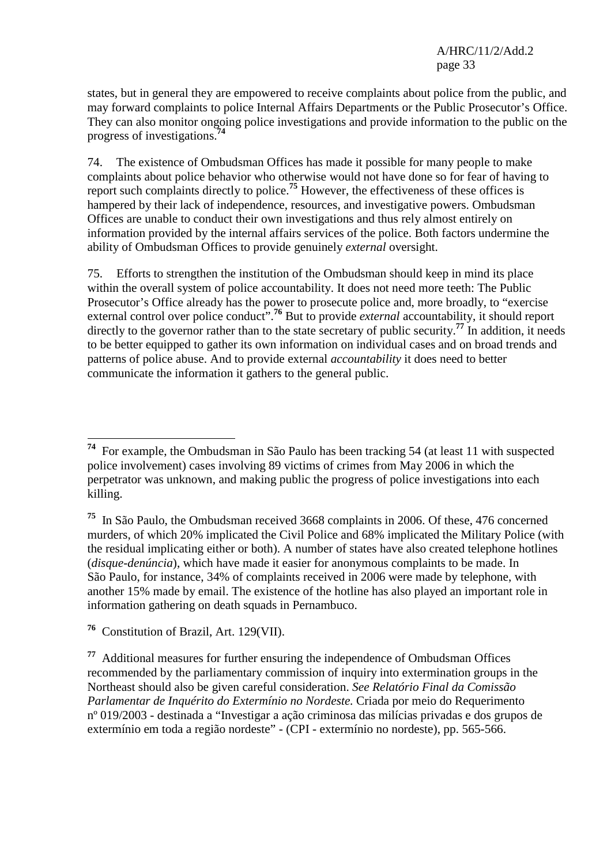states, but in general they are empowered to receive complaints about police from the public, and may forward complaints to police Internal Affairs Departments or the Public Prosecutor's Office. They can also monitor ongoing police investigations and provide information to the public on the progress of investigations.**<sup>74</sup>**

74. The existence of Ombudsman Offices has made it possible for many people to make complaints about police behavior who otherwise would not have done so for fear of having to report such complaints directly to police.**<sup>75</sup>** However, the effectiveness of these offices is hampered by their lack of independence, resources, and investigative powers. Ombudsman Offices are unable to conduct their own investigations and thus rely almost entirely on information provided by the internal affairs services of the police. Both factors undermine the ability of Ombudsman Offices to provide genuinely *external* oversight.

75. Efforts to strengthen the institution of the Ombudsman should keep in mind its place within the overall system of police accountability. It does not need more teeth: The Public Prosecutor's Office already has the power to prosecute police and, more broadly, to "exercise external control over police conduct<sup>", 76</sup> But to provide *external* accountability, it should report directly to the governor rather than to the state secretary of public security.**<sup>77</sup>** In addition, it needs to be better equipped to gather its own information on individual cases and on broad trends and patterns of police abuse. And to provide external *accountability* it does need to better communicate the information it gathers to the general public.

 $\overline{a}$ **<sup>74</sup>** For example, the Ombudsman in São Paulo has been tracking 54 (at least 11 with suspected police involvement) cases involving 89 victims of crimes from May 2006 in which the perpetrator was unknown, and making public the progress of police investigations into each killing.

**<sup>75</sup>** In São Paulo, the Ombudsman received 3668 complaints in 2006. Of these, 476 concerned murders, of which 20% implicated the Civil Police and 68% implicated the Military Police (with the residual implicating either or both). A number of states have also created telephone hotlines (*disque-denúncia*), which have made it easier for anonymous complaints to be made. In São Paulo, for instance, 34% of complaints received in 2006 were made by telephone, with another 15% made by email. The existence of the hotline has also played an important role in information gathering on death squads in Pernambuco.

**<sup>76</sup>** Constitution of Brazil, Art. 129(VII).

**<sup>77</sup>** Additional measures for further ensuring the independence of Ombudsman Offices recommended by the parliamentary commission of inquiry into extermination groups in the Northeast should also be given careful consideration. *See Relatório Final da Comissão Parlamentar de Inquérito do Extermínio no Nordeste.* Criada por meio do Requerimento nº 019/2003 - destinada a "Investigar a ação criminosa das milícias privadas e dos grupos de extermínio em toda a região nordeste" - (CPI - extermínio no nordeste), pp. 565-566.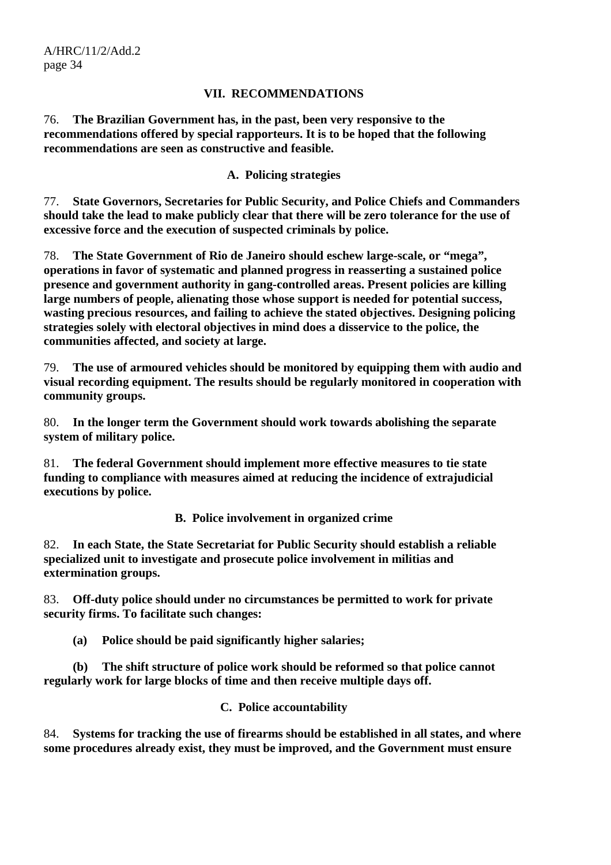#### **VII. RECOMMENDATIONS**

76. **The Brazilian Government has, in the past, been very responsive to the recommendations offered by special rapporteurs. It is to be hoped that the following recommendations are seen as constructive and feasible.** 

#### **A. Policing strategies**

77. **State Governors, Secretaries for Public Security, and Police Chiefs and Commanders should take the lead to make publicly clear that there will be zero tolerance for the use of excessive force and the execution of suspected criminals by police.** 

78. **The State Government of Rio de Janeiro should eschew large-scale, or "mega", operations in favor of systematic and planned progress in reasserting a sustained police presence and government authority in gang-controlled areas. Present policies are killing large numbers of people, alienating those whose support is needed for potential success, wasting precious resources, and failing to achieve the stated objectives. Designing policing strategies solely with electoral objectives in mind does a disservice to the police, the communities affected, and society at large.** 

79. **The use of armoured vehicles should be monitored by equipping them with audio and visual recording equipment. The results should be regularly monitored in cooperation with community groups.** 

80. **In the longer term the Government should work towards abolishing the separate system of military police.** 

81. **The federal Government should implement more effective measures to tie state funding to compliance with measures aimed at reducing the incidence of extrajudicial executions by police.** 

**B. Police involvement in organized crime** 

82. **In each State, the State Secretariat for Public Security should establish a reliable specialized unit to investigate and prosecute police involvement in militias and extermination groups.** 

83. **Off-duty police should under no circumstances be permitted to work for private security firms. To facilitate such changes:** 

 **(a) Police should be paid significantly higher salaries;** 

 **(b) The shift structure of police work should be reformed so that police cannot regularly work for large blocks of time and then receive multiple days off.** 

**C. Police accountability** 

84. **Systems for tracking the use of firearms should be established in all states, and where some procedures already exist, they must be improved, and the Government must ensure**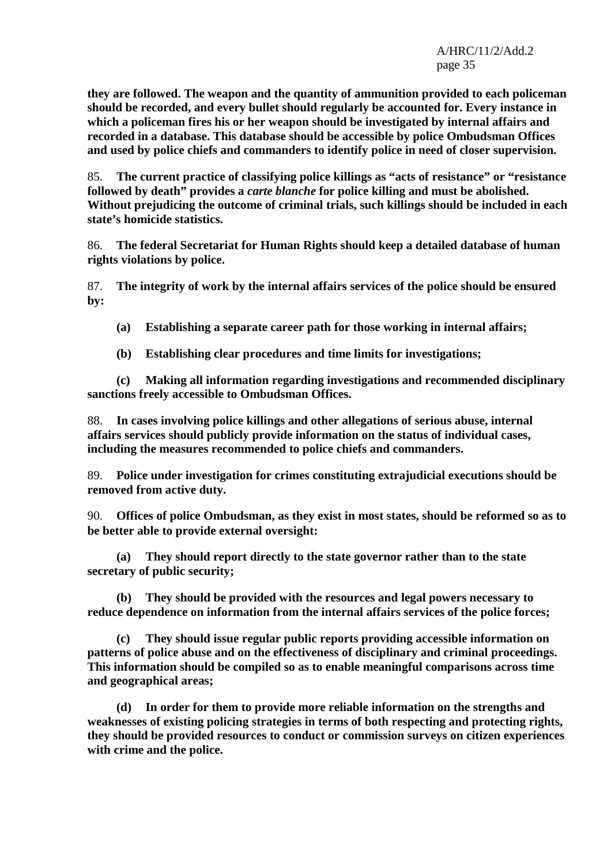**they are followed. The weapon and the quantity of ammunition provided to each policeman should be recorded, and every bullet should regularly be accounted for. Every instance in which a policeman fires his or her weapon should be investigated by internal affairs and recorded in a database. This database should be accessible by police Ombudsman Offices and used by police chiefs and commanders to identify police in need of closer supervision.** 

85. **The current practice of classifying police killings as "acts of resistance" or "resistance followed by death" provides a** *carte blanche* **for police killing and must be abolished. Without prejudicing the outcome of criminal trials, such killings should be included in each state's homicide statistics.** 

86. **The federal Secretariat for Human Rights should keep a detailed database of human rights violations by police.** 

87. **The integrity of work by the internal affairs services of the police should be ensured by:** 

 **(a) Establishing a separate career path for those working in internal affairs;** 

 **(b) Establishing clear procedures and time limits for investigations;** 

 **(c) Making all information regarding investigations and recommended disciplinary sanctions freely accessible to Ombudsman Offices.** 

88. **In cases involving police killings and other allegations of serious abuse, internal affairs services should publicly provide information on the status of individual cases, including the measures recommended to police chiefs and commanders.** 

89. **Police under investigation for crimes constituting extrajudicial executions should be removed from active duty.** 

90. **Offices of police Ombudsman, as they exist in most states, should be reformed so as to be better able to provide external oversight:** 

**(a) They should report directly to the state governor rather than to the state secretary of public security;** 

 **(b) They should be provided with the resources and legal powers necessary to reduce dependence on information from the internal affairs services of the police forces;** 

 **(c) They should issue regular public reports providing accessible information on patterns of police abuse and on the effectiveness of disciplinary and criminal proceedings. This information should be compiled so as to enable meaningful comparisons across time and geographical areas;** 

 **(d) In order for them to provide more reliable information on the strengths and weaknesses of existing policing strategies in terms of both respecting and protecting rights, they should be provided resources to conduct or commission surveys on citizen experiences with crime and the police.**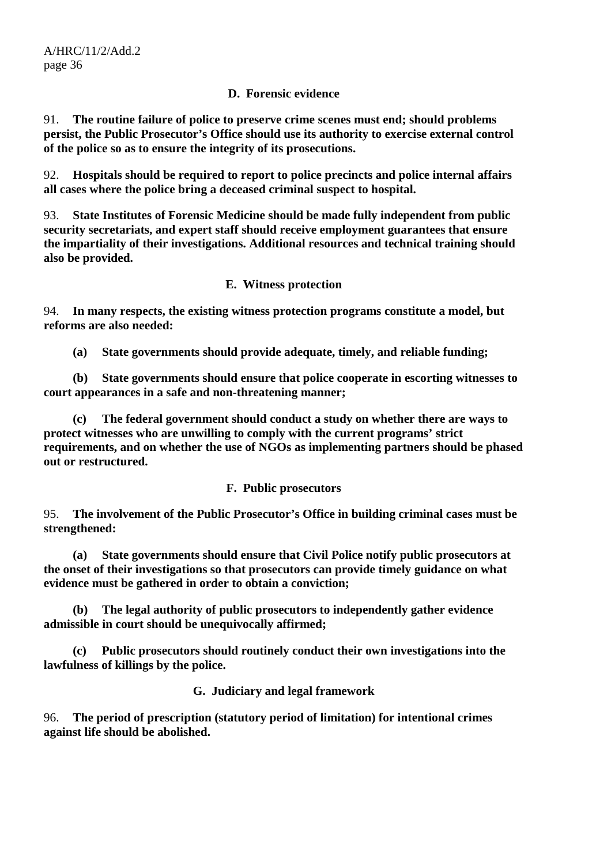## **D. Forensic evidence**

91. **The routine failure of police to preserve crime scenes must end; should problems persist, the Public Prosecutor's Office should use its authority to exercise external control of the police so as to ensure the integrity of its prosecutions.** 

92. **Hospitals should be required to report to police precincts and police internal affairs all cases where the police bring a deceased criminal suspect to hospital.** 

93. **State Institutes of Forensic Medicine should be made fully independent from public security secretariats, and expert staff should receive employment guarantees that ensure the impartiality of their investigations. Additional resources and technical training should also be provided.** 

## **E. Witness protection**

94. **In many respects, the existing witness protection programs constitute a model, but reforms are also needed:** 

 **(a) State governments should provide adequate, timely, and reliable funding;** 

 **(b) State governments should ensure that police cooperate in escorting witnesses to court appearances in a safe and non-threatening manner;** 

 **(c) The federal government should conduct a study on whether there are ways to protect witnesses who are unwilling to comply with the current programs' strict requirements, and on whether the use of NGOs as implementing partners should be phased out or restructured.** 

**F. Public prosecutors** 

95. **The involvement of the Public Prosecutor's Office in building criminal cases must be strengthened:** 

 **(a) State governments should ensure that Civil Police notify public prosecutors at the onset of their investigations so that prosecutors can provide timely guidance on what evidence must be gathered in order to obtain a conviction;** 

 **(b) The legal authority of public prosecutors to independently gather evidence admissible in court should be unequivocally affirmed;** 

 **(c) Public prosecutors should routinely conduct their own investigations into the lawfulness of killings by the police.** 

**G. Judiciary and legal framework** 

96. **The period of prescription (statutory period of limitation) for intentional crimes against life should be abolished.**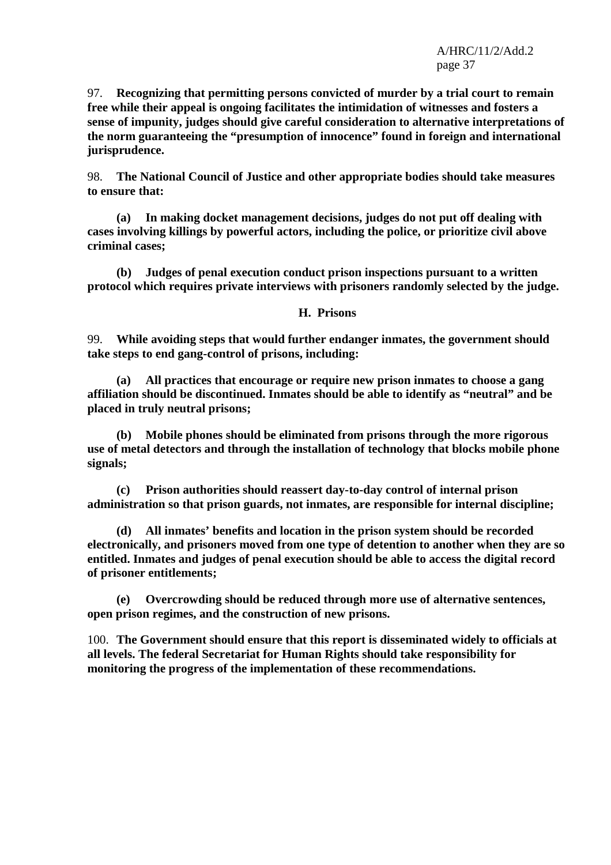97. **Recognizing that permitting persons convicted of murder by a trial court to remain free while their appeal is ongoing facilitates the intimidation of witnesses and fosters a sense of impunity, judges should give careful consideration to alternative interpretations of the norm guaranteeing the "presumption of innocence" found in foreign and international jurisprudence.** 

98. **The National Council of Justice and other appropriate bodies should take measures to ensure that:** 

 **(a) In making docket management decisions, judges do not put off dealing with cases involving killings by powerful actors, including the police, or prioritize civil above criminal cases;** 

 **(b) Judges of penal execution conduct prison inspections pursuant to a written protocol which requires private interviews with prisoners randomly selected by the judge.** 

#### **H. Prisons**

99. **While avoiding steps that would further endanger inmates, the government should take steps to end gang-control of prisons, including:** 

 **(a) All practices that encourage or require new prison inmates to choose a gang affiliation should be discontinued. Inmates should be able to identify as "neutral" and be placed in truly neutral prisons;** 

 **(b) Mobile phones should be eliminated from prisons through the more rigorous use of metal detectors and through the installation of technology that blocks mobile phone signals;** 

 **(c) Prison authorities should reassert day-to-day control of internal prison administration so that prison guards, not inmates, are responsible for internal discipline;** 

 **(d) All inmates' benefits and location in the prison system should be recorded electronically, and prisoners moved from one type of detention to another when they are so entitled. Inmates and judges of penal execution should be able to access the digital record of prisoner entitlements;** 

 **(e) Overcrowding should be reduced through more use of alternative sentences, open prison regimes, and the construction of new prisons.** 

100. **The Government should ensure that this report is disseminated widely to officials at all levels. The federal Secretariat for Human Rights should take responsibility for monitoring the progress of the implementation of these recommendations.**